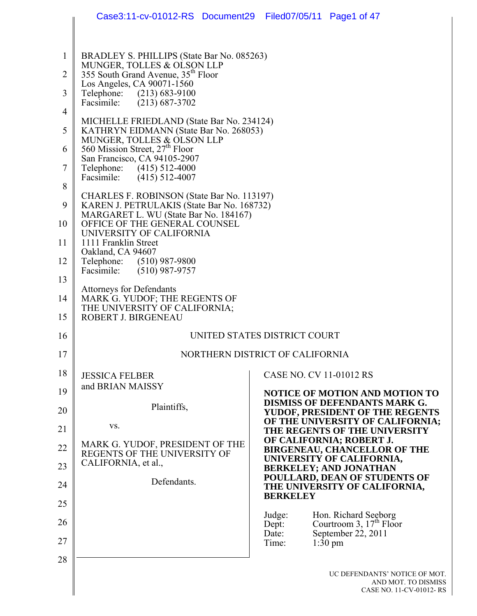|                | Case3:11-cv-01012-RS Document29 Filed07/05/11 Page1 of 47                                |                                                                                 |
|----------------|------------------------------------------------------------------------------------------|---------------------------------------------------------------------------------|
|                |                                                                                          |                                                                                 |
| $\mathbf{1}$   | BRADLEY S. PHILLIPS (State Bar No. 085263)                                               |                                                                                 |
| $\overline{2}$ | MUNGER, TOLLES & OLSON LLP<br>355 South Grand Avenue, 35 <sup>th</sup> Floor             |                                                                                 |
| 3              | Los Angeles, CA 90071-1560<br>Telephone: (213) 683-9100                                  |                                                                                 |
| 4              | Facsimile: (213) 687-3702                                                                |                                                                                 |
| 5              | MICHELLE FRIEDLAND (State Bar No. 234124)<br>KATHRYN EIDMANN (State Bar No. 268053)      |                                                                                 |
| 6              | MUNGER, TOLLES & OLSON LLP<br>560 Mission Street, 27 <sup>th</sup> Floor                 |                                                                                 |
| $\tau$         | San Francisco, CA 94105-2907<br>Telephone: (415) 512-4000                                |                                                                                 |
| 8              | Facsimile: (415) 512-4007                                                                |                                                                                 |
| 9              | CHARLES F. ROBINSON (State Bar No. 113197)<br>KAREN J. PETRULAKIS (State Bar No. 168732) |                                                                                 |
| 10             | MARGARET L. WU (State Bar No. 184167)<br>OFFICE OF THE GENERAL COUNSEL                   |                                                                                 |
| 11             | UNIVERSITY OF CALIFORNIA<br>1111 Franklin Street                                         |                                                                                 |
| 12             | Oakland, CA 94607<br>Telephone: (510) 987-9800                                           |                                                                                 |
| 13             | Facsimile: (510) 987-9757                                                                |                                                                                 |
| 14             | <b>Attorneys for Defendants</b><br>MARK G. YUDOF; THE REGENTS OF                         |                                                                                 |
| 15             | THE UNIVERSITY OF CALIFORNIA;<br>ROBERT J. BIRGENEAU                                     |                                                                                 |
| 16             |                                                                                          | UNITED STATES DISTRICT COURT                                                    |
| 17             |                                                                                          | NORTHERN DISTRICT OF CALIFORNIA                                                 |
| 18             | <b>JESSICA FELBER</b>                                                                    | CASE NO. CV 11-01012 RS                                                         |
| 19             | and BRIAN MAISSY                                                                         | <b>NOTICE OF MOTION AND MOTION TO</b>                                           |
| 20             | Plaintiffs,                                                                              | <b>DISMISS OF DEFENDANTS MARK G.</b><br>YUDOF, PRESIDENT OF THE REGENTS         |
| 21             | VS.                                                                                      | OF THE UNIVERSITY OF CALIFORNIA;<br>THE REGENTS OF THE UNIVERSITY               |
| 22             | MARK G. YUDOF, PRESIDENT OF THE<br>REGENTS OF THE UNIVERSITY OF                          | OF CALIFORNIA; ROBERT J.<br><b>BIRGENEAU, CHANCELLOR OF THE</b>                 |
| 23             | CALIFORNIA, et al.,                                                                      | UNIVERSITY OF CALIFORNIA,<br><b>BERKELEY; AND JONATHAN</b>                      |
| 24             | Defendants.                                                                              | POULLARD, DEAN OF STUDENTS OF<br>THE UNIVERSITY OF CALIFORNIA,                  |
| 25             |                                                                                          | <b>BERKELEY</b>                                                                 |
| 26             |                                                                                          | Hon. Richard Seeborg<br>Judge:<br>Courtroom 3, $17th$ Floor<br>Dept:            |
| 27             |                                                                                          | September 22, 2011<br>Date:<br>Time:<br>$1:30 \text{ pm}$                       |
| 28             |                                                                                          |                                                                                 |
|                |                                                                                          | UC DEFENDANTS' NOTICE OF MOT.<br>AND MOT. TO DISMISS<br>CASE NO. 11-CV-01012-RS |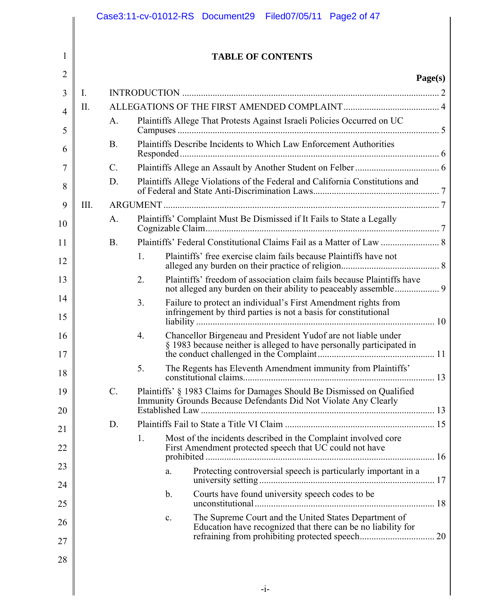|                |      |                 |    | Case3:11-cv-01012-RS Document29 Filed07/05/11 Page2 of 47                                                                                 |         |
|----------------|------|-----------------|----|-------------------------------------------------------------------------------------------------------------------------------------------|---------|
| 1              |      |                 |    | <b>TABLE OF CONTENTS</b>                                                                                                                  |         |
| $\overline{2}$ |      |                 |    |                                                                                                                                           | Page(s) |
| 3              | Ι.   |                 |    |                                                                                                                                           |         |
| $\overline{4}$ | II.  |                 |    |                                                                                                                                           |         |
| 5              |      | A.              |    | Plaintiffs Allege That Protests Against Israeli Policies Occurred on UC                                                                   |         |
| 6              |      | <b>B</b> .      |    | Plaintiffs Describe Incidents to Which Law Enforcement Authorities                                                                        |         |
| 7              |      | $\mathcal{C}$ . |    |                                                                                                                                           |         |
| 8              |      | D.              |    | Plaintiffs Allege Violations of the Federal and California Constitutions and                                                              |         |
| 9              | III. |                 |    |                                                                                                                                           |         |
| 10             |      | A.              |    | Plaintiffs' Complaint Must Be Dismissed if It Fails to State a Legally                                                                    |         |
| 11             |      | <b>B</b> .      |    |                                                                                                                                           |         |
| 12             |      |                 | 1. | Plaintiffs' free exercise claim fails because Plaintiffs have not                                                                         |         |
| 13             |      |                 | 2. | Plaintiffs' freedom of association claim fails because Plaintiffs have                                                                    |         |
| 14<br>15       |      |                 | 3. | Failure to protect an individual's First Amendment rights from<br>infringement by third parties is not a basis for constitutional         |         |
| 16<br>17       |      |                 | 4. | Chancellor Birgeneau and President Yudof are not liable under<br>§ 1983 because neither is alleged to have personally participated in     | 11      |
| 18             |      |                 | 5. | The Regents has Eleventh Amendment immunity from Plaintiffs'                                                                              |         |
| 19             |      | $\mathcal{C}$ . |    | Plaintiffs' § 1983 Claims for Damages Should Be Dismissed on Qualified<br>Immunity Grounds Because Defendants Did Not Violate Any Clearly |         |
| 20             |      | D.              |    |                                                                                                                                           |         |
| 21             |      |                 | 1. | Most of the incidents described in the Complaint involved core                                                                            |         |
| 22             |      |                 |    | First Amendment protected speech that UC could not have                                                                                   |         |
| 23             |      |                 |    | Protecting controversial speech is particularly important in a<br>a.                                                                      |         |
| 24<br>25       |      |                 |    | Courts have found university speech codes to be<br>$\mathbf b$ .                                                                          |         |
| 26             |      |                 |    | The Supreme Court and the United States Department of<br>c.                                                                               |         |
| 27             |      |                 |    | Education have recognized that there can be no liability for                                                                              |         |
| 28             |      |                 |    |                                                                                                                                           |         |
|                |      |                 |    | $-1-$                                                                                                                                     |         |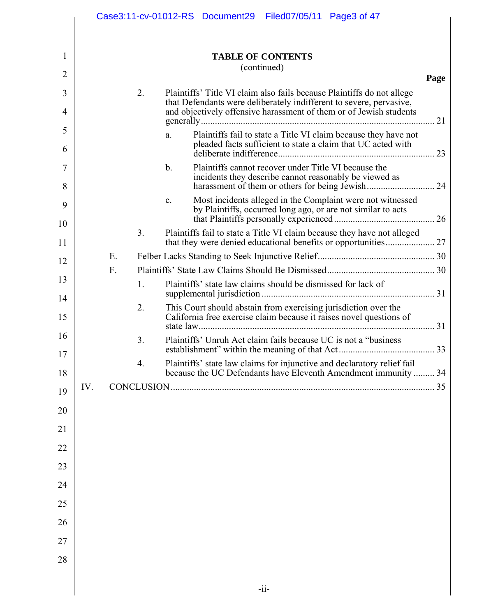|          |     |    |    | Case3:11-cv-01012-RS Document29 Filed07/05/11 Page3 of 47                                                                                    |      |
|----------|-----|----|----|----------------------------------------------------------------------------------------------------------------------------------------------|------|
|          |     |    |    |                                                                                                                                              |      |
| 1        |     |    |    | <b>TABLE OF CONTENTS</b>                                                                                                                     |      |
| 2        |     |    |    | (continued)                                                                                                                                  | Page |
| 3        |     |    | 2. | Plaintiffs' Title VI claim also fails because Plaintiffs do not allege                                                                       |      |
| 4        |     |    |    | that Defendants were deliberately indifferent to severe, pervasive,<br>and objectively offensive harassment of them or of Jewish students    | 21   |
| 5<br>6   |     |    |    | Plaintiffs fail to state a Title VI claim because they have not<br>a.<br>pleaded facts sufficient to state a claim that UC acted with        |      |
| 7<br>8   |     |    |    | Plaintiffs cannot recover under Title VI because the<br>$b_{\cdot}$<br>incidents they describe cannot reasonably be viewed as                |      |
| 9<br>10  |     |    |    | Most incidents alleged in the Complaint were not witnessed<br>$\mathbf{c}$ .<br>by Plaintiffs, occurred long ago, or are not similar to acts |      |
| 11       |     |    | 3. | Plaintiffs fail to state a Title VI claim because they have not alleged                                                                      |      |
| 12       |     | Ε. |    |                                                                                                                                              |      |
|          |     | F. |    |                                                                                                                                              |      |
| 13       |     |    | 1. | Plaintiffs' state law claims should be dismissed for lack of                                                                                 |      |
| 14<br>15 |     |    | 2. | This Court should abstain from exercising jurisdiction over the<br>California free exercise claim because it raises novel questions of       |      |
| 16       |     |    | 3. | Plaintiffs' Unruh Act claim fails because UC is not a "business"                                                                             |      |
| 17<br>18 |     |    | 4. | Plaintiffs' state law claims for injunctive and declaratory relief fail<br>because the UC Defendants have Eleventh Amendment immunity  34    |      |
| 19       | IV. |    |    |                                                                                                                                              | . 35 |
| 20       |     |    |    |                                                                                                                                              |      |
| 21       |     |    |    |                                                                                                                                              |      |
| 22       |     |    |    |                                                                                                                                              |      |
| 23       |     |    |    |                                                                                                                                              |      |
| 24       |     |    |    |                                                                                                                                              |      |
| 25       |     |    |    |                                                                                                                                              |      |
| 26       |     |    |    |                                                                                                                                              |      |
| 27       |     |    |    |                                                                                                                                              |      |
| 28       |     |    |    |                                                                                                                                              |      |
|          |     |    |    |                                                                                                                                              |      |
|          |     |    |    | $-i$ i-                                                                                                                                      |      |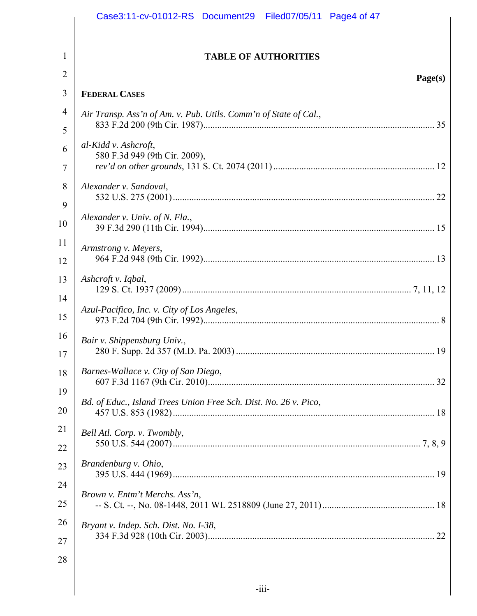|                | Case3:11-cv-01012-RS Document29 Filed07/05/11 Page4 of 47        |
|----------------|------------------------------------------------------------------|
| 1              | <b>TABLE OF AUTHORITIES</b>                                      |
| 2              |                                                                  |
| 3              | Page(s)<br><b>FEDERAL CASES</b>                                  |
| $\overline{4}$ | Air Transp. Ass'n of Am. v. Pub. Utils. Comm'n of State of Cal., |
| 5              |                                                                  |
| 6              | al-Kidd v. Ashcroft,                                             |
| 7              | 580 F.3d 949 (9th Cir. 2009),                                    |
| 8              | Alexander v. Sandoval,                                           |
| 9              | Alexander v. Univ. of N. Fla.,                                   |
| 10             |                                                                  |
| 11             | Armstrong v. Meyers,                                             |
| 12             |                                                                  |
| 13             | Ashcroft v. Iqbal,                                               |
| 14             | Azul-Pacifico, Inc. v. City of Los Angeles,                      |
| 15             |                                                                  |
| 16<br>17       | Bair v. Shippensburg Univ.,                                      |
| 18             | Barnes-Wallace v. City of San Diego,                             |
| 19             |                                                                  |
| 20             | Bd. of Educ., Island Trees Union Free Sch. Dist. No. 26 v. Pico, |
| 21             | Bell Atl. Corp. v. Twombly,                                      |
| 22             |                                                                  |
| 23             | Brandenburg v. Ohio,                                             |
| 24             | Brown v. Entm't Merchs. Ass'n,                                   |
| 25             |                                                                  |
| 26             | Bryant v. Indep. Sch. Dist. No. 1-38,                            |
| 27             |                                                                  |
| 28             |                                                                  |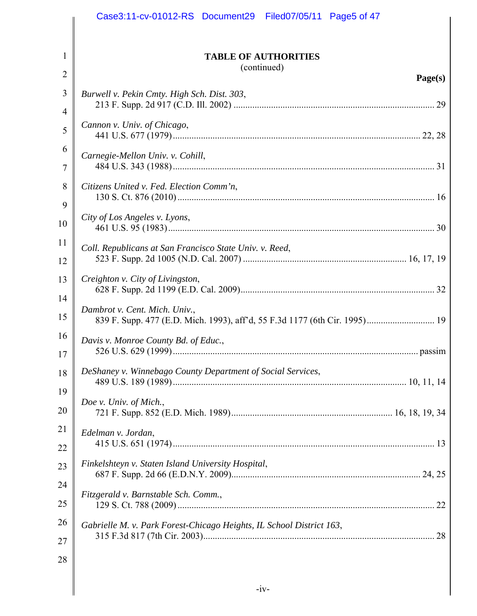|                | Case3:11-cv-01012-RS Document29 Filed07/05/11 Page5 of 47            |
|----------------|----------------------------------------------------------------------|
|                |                                                                      |
| 1              | <b>TABLE OF AUTHORITIES</b><br>(continued)                           |
| $\overline{2}$ | Page(s)                                                              |
| 3              | Burwell v. Pekin Cmty. High Sch. Dist. 303,                          |
| 4              |                                                                      |
| 5              | Cannon v. Univ. of Chicago,                                          |
| 6              | Carnegie-Mellon Univ. v. Cohill,                                     |
| 7              |                                                                      |
| 8              | Citizens United v. Fed. Election Comm'n,                             |
| 9              |                                                                      |
| 10             | City of Los Angeles v. Lyons,                                        |
| 11             | Coll. Republicans at San Francisco State Univ. v. Reed,              |
| 12             |                                                                      |
| 13             | Creighton v. City of Livingston,                                     |
| 14             |                                                                      |
| 15             | Dambrot v. Cent. Mich. Univ.,                                        |
| 16             | Davis v. Monroe County Bd. of Educ.,                                 |
| 17             |                                                                      |
| 18             | DeShaney v. Winnebago County Department of Social Services,          |
| 19             |                                                                      |
| 20             | Doe v. Univ. of Mich.,                                               |
| 21             | Edelman v. Jordan,                                                   |
| 22             |                                                                      |
| 23             | Finkelshteyn v. Staten Island University Hospital,                   |
| 24             |                                                                      |
| 25             | Fitzgerald v. Barnstable Sch. Comm.,                                 |
| 26             | Gabrielle M. v. Park Forest-Chicago Heights, IL School District 163, |
| 27             |                                                                      |
| 28             |                                                                      |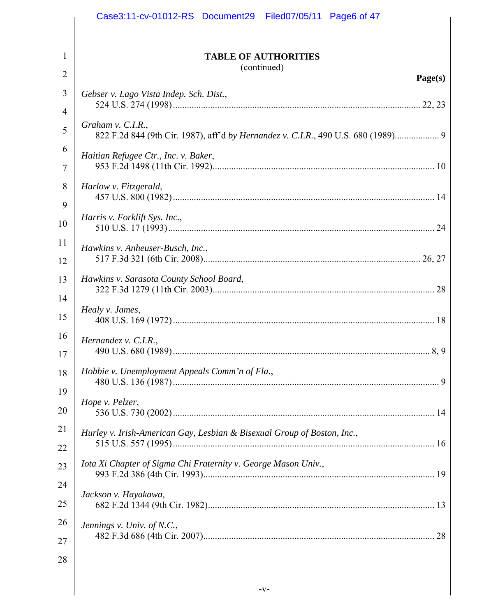|                | Case3:11-cv-01012-RS Document29 Filed07/05/11 Page6 of 47                                            |
|----------------|------------------------------------------------------------------------------------------------------|
|                |                                                                                                      |
| 1              | <b>TABLE OF AUTHORITIES</b>                                                                          |
| $\overline{2}$ | (continued)<br>Page(s)                                                                               |
| 3              | Gebser v. Lago Vista Indep. Sch. Dist.,                                                              |
| 4              |                                                                                                      |
| 5              | Graham v. C.I.R.,<br>822 F.2d 844 (9th Cir. 1987), aff'd by Hernandez v. C.I.R., 490 U.S. 680 (1989) |
| 6              | Haitian Refugee Ctr., Inc. v. Baker,                                                                 |
| 7              |                                                                                                      |
| 8              | Harlow v. Fitzgerald,                                                                                |
| 9              | Harris v. Forklift Sys. Inc.,                                                                        |
| 10             |                                                                                                      |
| 11             | Hawkins v. Anheuser-Busch, Inc.,                                                                     |
| 12             | Hawkins v. Sarasota County School Board,                                                             |
| 13             |                                                                                                      |
| 14<br>15       | Healy v. James,                                                                                      |
| 16             |                                                                                                      |
| 17             | Hernandez v. $C.I.R.,$                                                                               |
| 18             | Hobbie v. Unemployment Appeals Comm'n of Fla.,                                                       |
| 19             |                                                                                                      |
| 20             | Hope v. Pelzer,                                                                                      |
| 21             | Hurley v. Irish-American Gay, Lesbian & Bisexual Group of Boston, Inc.,                              |
| 22             |                                                                                                      |
| 23             | Iota Xi Chapter of Sigma Chi Fraternity v. George Mason Univ.,                                       |
| 24             | Jackson v. Hayakawa,                                                                                 |
| 25             |                                                                                                      |
| 26             | Jennings v. Univ. of N.C.,                                                                           |
| 27             |                                                                                                      |
| 28             |                                                                                                      |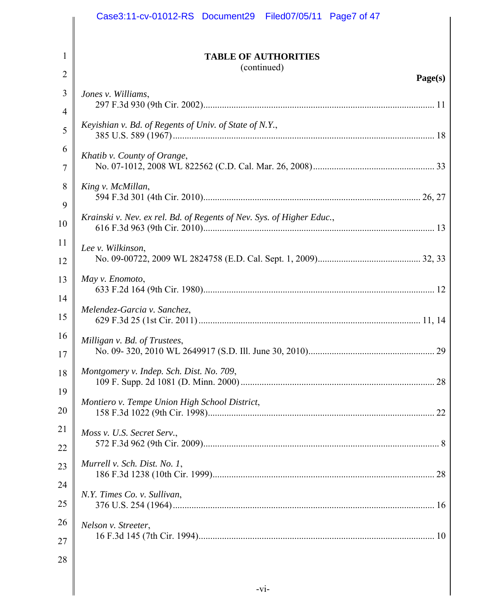|                | Case3:11-cv-01012-RS Document29 Filed07/05/11 Page7 of 47             |
|----------------|-----------------------------------------------------------------------|
| 1              | <b>TABLE OF AUTHORITIES</b><br>(continued)                            |
| $\overline{2}$ | Page(s)                                                               |
| 3              | Jones v. Williams,                                                    |
| 4              |                                                                       |
| 5              | Keyishian v. Bd. of Regents of Univ. of State of N.Y.,                |
| 6<br>7         | Khatib v. County of Orange,                                           |
| 8<br>9         | King v. McMillan,                                                     |
| 10             | Krainski v. Nev. ex rel. Bd. of Regents of Nev. Sys. of Higher Educ., |
| 11<br>12       | Lee v. Wilkinson,                                                     |
| 13<br>14       | May v. Enomoto,                                                       |
| 15             | Melendez-Garcia v. Sanchez,                                           |
| 16<br>17       | Milligan v. Bd. of Trustees,<br>29                                    |
| 18             | Montgomery v. Indep. Sch. Dist. No. 709,                              |
| 19<br>20       | Montiero v. Tempe Union High School District,                         |
| 21             | Moss v. U.S. Secret Serv.,                                            |
| 22             |                                                                       |
| 23             | Murrell v. Sch. Dist. No. 1,                                          |
| 24             | N.Y. Times Co. v. Sullivan,                                           |
| 25             |                                                                       |
| 26             | Nelson v. Streeter,                                                   |
| 27             |                                                                       |
| 28             |                                                                       |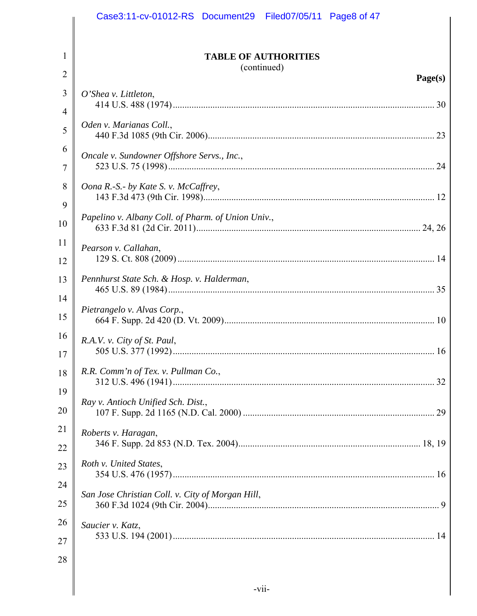|          | Case3:11-cv-01012-RS Document29 Filed07/05/11 Page8 of 47 |
|----------|-----------------------------------------------------------|
|          |                                                           |
| 1        | <b>TABLE OF AUTHORITIES</b><br>(continued)                |
| 2        | Page(s)                                                   |
| 3        | $O'$ Shea v. Littleton,                                   |
| 4        | Oden v. Marianas Coll.,                                   |
| 5        |                                                           |
| 6        | Oncale v. Sundowner Offshore Servs., Inc.,                |
| 7        |                                                           |
| 8<br>9   | Oona R.-S.- by Kate S. v. McCaffrey,                      |
| 10       | Papelino v. Albany Coll. of Pharm. of Union Univ.,        |
| 11       |                                                           |
| 12       | Pearson v. Callahan,                                      |
| 13       | Pennhurst State Sch. & Hosp. v. Halderman,                |
| 14       |                                                           |
| 15       | Pietrangelo v. Alvas Corp.,                               |
| 16       | R.A.V. v. City of St. Paul,                               |
| 17       |                                                           |
| 18       | R.R. Comm'n of Tex. v. Pullman Co.,                       |
| 19       | Ray v. Antioch Unified Sch. Dist.,                        |
| 20       |                                                           |
| 21       | Roberts v. Haragan,                                       |
| 22       |                                                           |
| 23       | Roth v. United States,                                    |
| 24       | San Jose Christian Coll. v. City of Morgan Hill,          |
| 25<br>26 |                                                           |
| 27       | Saucier v. Katz,                                          |
| 28       |                                                           |
|          |                                                           |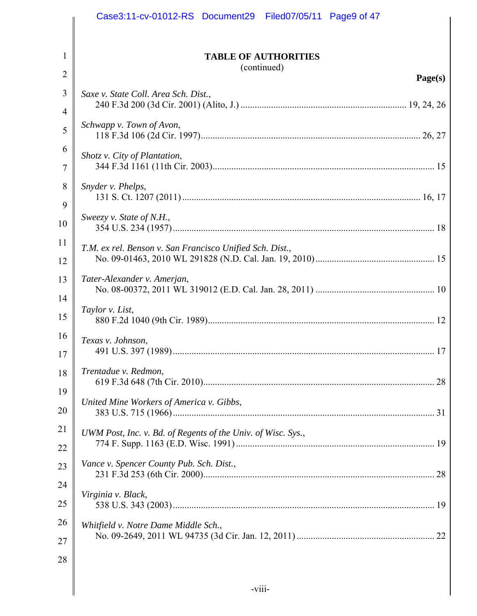|                | Case3:11-cv-01012-RS Document29 Filed07/05/11 Page9 of 47    |
|----------------|--------------------------------------------------------------|
|                |                                                              |
| 1              | <b>TABLE OF AUTHORITIES</b>                                  |
| $\overline{2}$ | (continued)<br>Page(s)                                       |
| 3              | Saxe v. State Coll. Area Sch. Dist.,                         |
| 4              |                                                              |
| 5              | Schwapp v. Town of Avon,                                     |
| 6              | Shotz v. City of Plantation,                                 |
| 7              |                                                              |
| 8              | Snyder v. Phelps,                                            |
| 9              | Sweezy v. State of N.H.,                                     |
| 10             |                                                              |
| 11             | T.M. ex rel. Benson v. San Francisco Unified Sch. Dist.,     |
| 12             |                                                              |
| 13             | Tater-Alexander v. Amerjan,                                  |
| 14             | Taylor v. List,                                              |
| 15             |                                                              |
| 16             | Texas v. Johnson,                                            |
| 17             |                                                              |
| 18             | Trentadue v. Redmon,<br>28                                   |
| 19             | United Mine Workers of America v. Gibbs,                     |
| 20             |                                                              |
| 21             | UWM Post, Inc. v. Bd. of Regents of the Univ. of Wisc. Sys., |
| 22             | Vance v. Spencer County Pub. Sch. Dist.,                     |
| 23             |                                                              |
| 24             | Virginia v. Black,                                           |
| 25             |                                                              |
| 26             | Whitfield v. Notre Dame Middle Sch.,                         |
| 27             |                                                              |
| 28             |                                                              |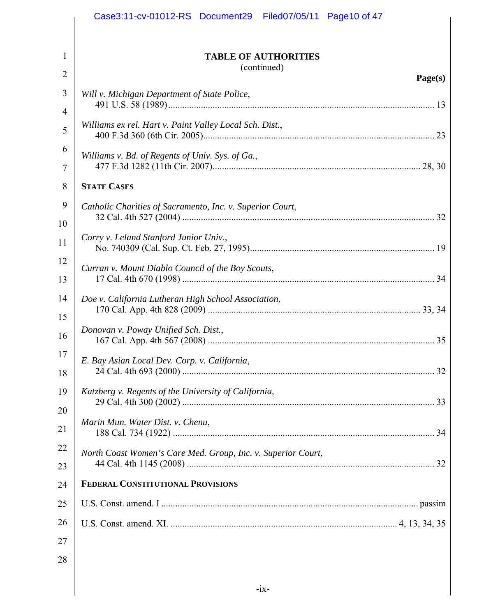|                | Case3:11-cv-01012-RS Document29 Filed07/05/11 Page10 of 47   |
|----------------|--------------------------------------------------------------|
|                |                                                              |
| 1              | <b>TABLE OF AUTHORITIES</b>                                  |
| $\overline{2}$ | (continued)<br>Page(s)                                       |
| 3              | Will v. Michigan Department of State Police,                 |
| $\overline{4}$ |                                                              |
| 5              | Williams ex rel. Hart v. Paint Valley Local Sch. Dist.,      |
| 6              | Williams v. Bd. of Regents of Univ. Sys. of Ga.,             |
| 7              |                                                              |
| 8              | <b>STATE CASES</b>                                           |
| 9              | Catholic Charities of Sacramento, Inc. v. Superior Court,    |
| 10             |                                                              |
| 11             | Corry v. Leland Stanford Junior Univ.,                       |
| 12             | Curran v. Mount Diablo Council of the Boy Scouts,            |
| 13             |                                                              |
| 14             | Doe v. California Lutheran High School Association,          |
| 15             | Donovan v. Poway Unified Sch. Dist.,                         |
| 16             |                                                              |
| 17             | E. Bay Asian Local Dev. Corp. v. California,                 |
| 18             |                                                              |
| 19             | Katzberg v. Regents of the University of California,         |
| 20             |                                                              |
| 21             | Marin Mun. Water Dist. v. Chenu,                             |
| 22             | North Coast Women's Care Med. Group, Inc. v. Superior Court, |
| 23             |                                                              |
| 24             | <b>FEDERAL CONSTITUTIONAL PROVISIONS</b>                     |
| 25             |                                                              |
| 26             |                                                              |
| 27             |                                                              |
| 28             |                                                              |
|                |                                                              |

║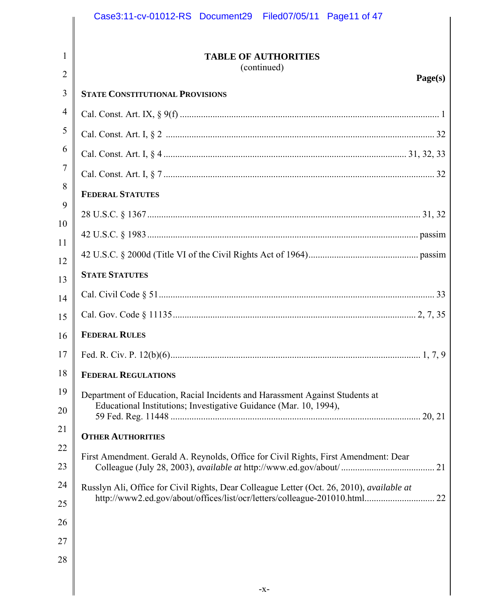|                | Case3:11-cv-01012-RS Document29 Filed07/05/11 Page11 of 47                                |
|----------------|-------------------------------------------------------------------------------------------|
| 1              | <b>TABLE OF AUTHORITIES</b><br>(continued)                                                |
| $\overline{2}$ | Page(s)                                                                                   |
| 3              | <b>STATE CONSTITUTIONAL PROVISIONS</b>                                                    |
| 4              |                                                                                           |
| 5              |                                                                                           |
| 6              |                                                                                           |
| $\overline{7}$ |                                                                                           |
| 8              | <b>FEDERAL STATUTES</b>                                                                   |
| 9              |                                                                                           |
| 10<br>11       |                                                                                           |
| 12             |                                                                                           |
| 13             | <b>STATE STATUTES</b>                                                                     |
| 14             |                                                                                           |
| 15             |                                                                                           |
| 16             | <b>FEDERAL RULES</b>                                                                      |
|                |                                                                                           |
| 18             | <b>FEDERAL REGULATIONS</b>                                                                |
| 19             | Department of Education, Racial Incidents and Harassment Against Students at              |
| 20             | Educational Institutions; Investigative Guidance (Mar. 10, 1994),                         |
| 21             | <b>OTHER AUTHORITIES</b>                                                                  |
| 22<br>23       | First Amendment. Gerald A. Reynolds, Office for Civil Rights, First Amendment: Dear       |
| 24             | Russlyn Ali, Office for Civil Rights, Dear Colleague Letter (Oct. 26, 2010), available at |
| 25             |                                                                                           |
| 26             |                                                                                           |
| 27             |                                                                                           |
| 28             |                                                                                           |
|                |                                                                                           |
|                | -X-                                                                                       |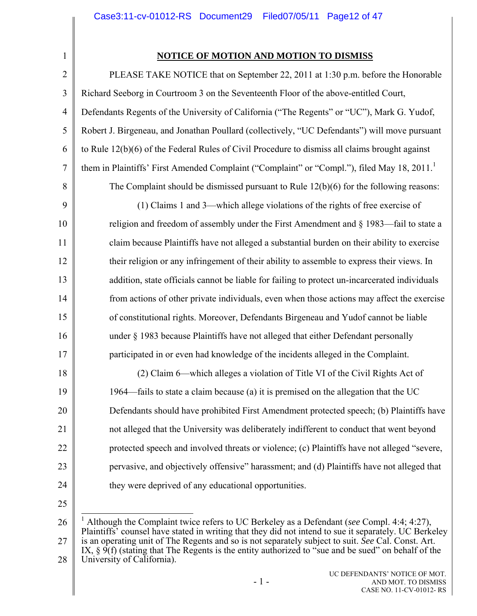1

## **NOTICE OF MOTION AND MOTION TO DISMISS**

| $\overline{2}$ | PLEASE TAKE NOTICE that on September 22, 2011 at 1:30 p.m. before the Honorable                  |
|----------------|--------------------------------------------------------------------------------------------------|
| 3              | Richard Seeborg in Courtroom 3 on the Seventeenth Floor of the above-entitled Court,             |
| $\overline{4}$ | Defendants Regents of the University of California ("The Regents" or "UC"), Mark G. Yudof,       |
| 5              | Robert J. Birgeneau, and Jonathan Poullard (collectively, "UC Defendants") will move pursuant    |
| 6              | to Rule $12(b)(6)$ of the Federal Rules of Civil Procedure to dismiss all claims brought against |
| $\overline{7}$ | them in Plaintiffs' First Amended Complaint ("Complaint" or "Compl."), filed May 18, 2011.       |
| 8              | The Complaint should be dismissed pursuant to Rule $12(b)(6)$ for the following reasons:         |
| 9              | (1) Claims 1 and 3—which allege violations of the rights of free exercise of                     |
| 10             | religion and freedom of assembly under the First Amendment and § 1983—fail to state a            |
| 11             | claim because Plaintiffs have not alleged a substantial burden on their ability to exercise      |
| 12             | their religion or any infringement of their ability to assemble to express their views. In       |
| 13             | addition, state officials cannot be liable for failing to protect un-incarcerated individuals    |
| 14             | from actions of other private individuals, even when those actions may affect the exercise       |
| 15             | of constitutional rights. Moreover, Defendants Birgeneau and Yudof cannot be liable              |
| 16             | under § 1983 because Plaintiffs have not alleged that either Defendant personally                |
| 17             | participated in or even had knowledge of the incidents alleged in the Complaint.                 |
| 18             | (2) Claim 6—which alleges a violation of Title VI of the Civil Rights Act of                     |
| 19             | 1964—fails to state a claim because (a) it is premised on the allegation that the UC             |
| 20             | Defendants should have prohibited First Amendment protected speech; (b) Plaintiffs have          |
| 21             | not alleged that the University was deliberately indifferent to conduct that went beyond         |
| 22             | protected speech and involved threats or violence; (c) Plaintiffs have not alleged "severe,      |
| 23             | pervasive, and objectively offensive" harassment; and (d) Plaintiffs have not alleged that       |
| 24             | they were deprived of any educational opportunities.                                             |
| 25             |                                                                                                  |

26 27 28 1 Although the Complaint twice refers to UC Berkeley as a Defendant (*see* Compl. 4:4; 4:27), Plaintiffs' counsel have stated in writing that they did not intend to sue it separately. UC Berkeley is an operating unit of The Regents and so is not separately subject to suit. *See* Cal. Const. Art. IX, § 9(f) (stating that The Regents is the entity authorized to "sue and be sued" on behalf of the University of California).

> UC DEFENDANTS' NOTICE OF MOT. AND MOT. TO DISMISS CASE NO. 11-CV-01012- RS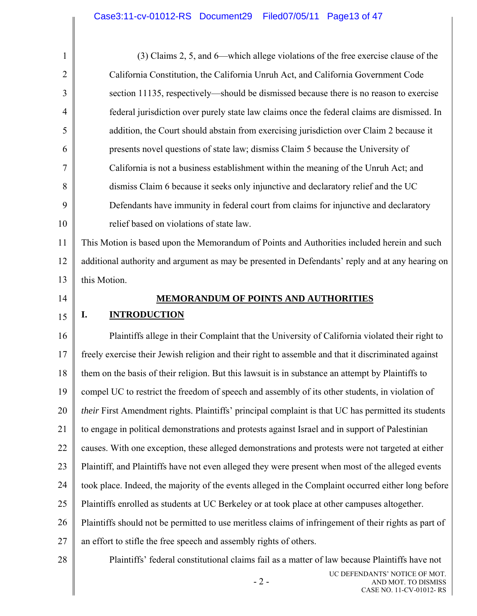| $\mathbf{1}$   | (3) Claims 2, 5, and 6—which allege violations of the free exercise clause of the                     |
|----------------|-------------------------------------------------------------------------------------------------------|
| $\overline{2}$ | California Constitution, the California Unruh Act, and California Government Code                     |
| 3              | section 11135, respectively—should be dismissed because there is no reason to exercise                |
| $\overline{4}$ | federal jurisdiction over purely state law claims once the federal claims are dismissed. In           |
| 5              | addition, the Court should abstain from exercising jurisdiction over Claim 2 because it               |
| 6              | presents novel questions of state law; dismiss Claim 5 because the University of                      |
| 7              | California is not a business establishment within the meaning of the Unruh Act; and                   |
| 8              | dismiss Claim 6 because it seeks only injunctive and declaratory relief and the UC                    |
| 9              | Defendants have immunity in federal court from claims for injunctive and declaratory                  |
| 10             | relief based on violations of state law.                                                              |
| 11             | This Motion is based upon the Memorandum of Points and Authorities included herein and such           |
| 12             | additional authority and argument as may be presented in Defendants' reply and at any hearing on      |
| 13             | this Motion.                                                                                          |
| 14             | <b>MEMORANDUM OF POINTS AND AUTHORITIES</b>                                                           |
| 15             | <b>INTRODUCTION</b><br>I.                                                                             |
|                |                                                                                                       |
| 16             | Plaintiffs allege in their Complaint that the University of California violated their right to        |
| 17             | freely exercise their Jewish religion and their right to assemble and that it discriminated against   |
| 18             | them on the basis of their religion. But this lawsuit is in substance an attempt by Plaintiffs to     |
| 19             | compel UC to restrict the freedom of speech and assembly of its other students, in violation of       |
| 20             | their First Amendment rights. Plaintiffs' principal complaint is that UC has permitted its students   |
| 21             | to engage in political demonstrations and protests against Israel and in support of Palestinian       |
| 22             | causes. With one exception, these alleged demonstrations and protests were not targeted at either     |
| 23             | Plaintiff, and Plaintiffs have not even alleged they were present when most of the alleged events     |
| 24             | took place. Indeed, the majority of the events alleged in the Complaint occurred either long before   |
| 25             | Plaintiffs enrolled as students at UC Berkeley or at took place at other campuses altogether.         |
| 26             | Plaintiffs should not be permitted to use meritless claims of infringement of their rights as part of |
| 27             | an effort to stifle the free speech and assembly rights of others.                                    |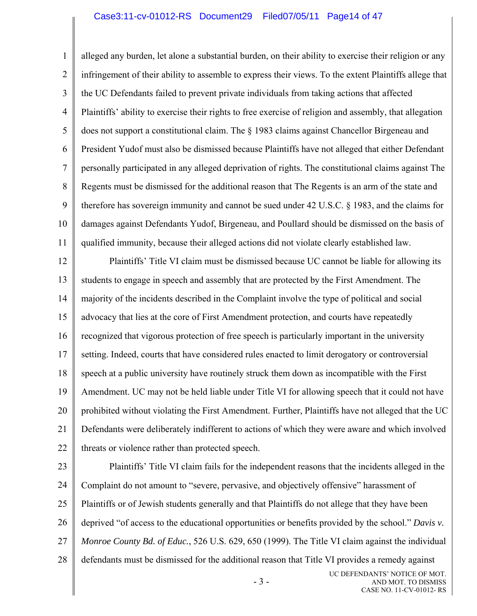#### Case3:11-cv-01012-RS Document29 Filed07/05/11 Page14 of 47

1 2 3 4 5 6 7 8 9 10 11 alleged any burden, let alone a substantial burden, on their ability to exercise their religion or any infringement of their ability to assemble to express their views. To the extent Plaintiffs allege that the UC Defendants failed to prevent private individuals from taking actions that affected Plaintiffs' ability to exercise their rights to free exercise of religion and assembly, that allegation does not support a constitutional claim. The § 1983 claims against Chancellor Birgeneau and President Yudof must also be dismissed because Plaintiffs have not alleged that either Defendant personally participated in any alleged deprivation of rights. The constitutional claims against The Regents must be dismissed for the additional reason that The Regents is an arm of the state and therefore has sovereign immunity and cannot be sued under 42 U.S.C. § 1983, and the claims for damages against Defendants Yudof, Birgeneau, and Poullard should be dismissed on the basis of qualified immunity, because their alleged actions did not violate clearly established law.

12 13 14 15 16 17 18 19 20 21 22 Plaintiffs' Title VI claim must be dismissed because UC cannot be liable for allowing its students to engage in speech and assembly that are protected by the First Amendment. The majority of the incidents described in the Complaint involve the type of political and social advocacy that lies at the core of First Amendment protection, and courts have repeatedly recognized that vigorous protection of free speech is particularly important in the university setting. Indeed, courts that have considered rules enacted to limit derogatory or controversial speech at a public university have routinely struck them down as incompatible with the First Amendment. UC may not be held liable under Title VI for allowing speech that it could not have prohibited without violating the First Amendment. Further, Plaintiffs have not alleged that the UC Defendants were deliberately indifferent to actions of which they were aware and which involved threats or violence rather than protected speech.

23 24 25 26 27 28 Plaintiffs' Title VI claim fails for the independent reasons that the incidents alleged in the Complaint do not amount to "severe, pervasive, and objectively offensive" harassment of Plaintiffs or of Jewish students generally and that Plaintiffs do not allege that they have been deprived "of access to the educational opportunities or benefits provided by the school." *Davis v. Monroe County Bd. of Educ.*, 526 U.S. 629, 650 (1999). The Title VI claim against the individual defendants must be dismissed for the additional reason that Title VI provides a remedy against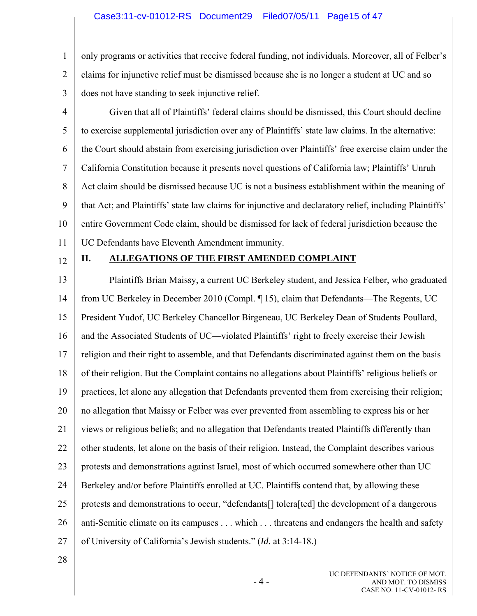1 2 3 only programs or activities that receive federal funding, not individuals. Moreover, all of Felber's claims for injunctive relief must be dismissed because she is no longer a student at UC and so does not have standing to seek injunctive relief.

- 4 5 6 7 8 9 10 11 Given that all of Plaintiffs' federal claims should be dismissed, this Court should decline to exercise supplemental jurisdiction over any of Plaintiffs' state law claims. In the alternative: the Court should abstain from exercising jurisdiction over Plaintiffs' free exercise claim under the California Constitution because it presents novel questions of California law; Plaintiffs' Unruh Act claim should be dismissed because UC is not a business establishment within the meaning of that Act; and Plaintiffs' state law claims for injunctive and declaratory relief, including Plaintiffs' entire Government Code claim, should be dismissed for lack of federal jurisdiction because the UC Defendants have Eleventh Amendment immunity.
- 12

# **II. ALLEGATIONS OF THE FIRST AMENDED COMPLAINT**

13 14 15 16 17 18 19 20 21 22 23 24 25 26 27 Plaintiffs Brian Maissy, a current UC Berkeley student, and Jessica Felber, who graduated from UC Berkeley in December 2010 (Compl. ¶ 15), claim that Defendants—The Regents, UC President Yudof, UC Berkeley Chancellor Birgeneau, UC Berkeley Dean of Students Poullard, and the Associated Students of UC—violated Plaintiffs' right to freely exercise their Jewish religion and their right to assemble, and that Defendants discriminated against them on the basis of their religion. But the Complaint contains no allegations about Plaintiffs' religious beliefs or practices, let alone any allegation that Defendants prevented them from exercising their religion; no allegation that Maissy or Felber was ever prevented from assembling to express his or her views or religious beliefs; and no allegation that Defendants treated Plaintiffs differently than other students, let alone on the basis of their religion. Instead, the Complaint describes various protests and demonstrations against Israel, most of which occurred somewhere other than UC Berkeley and/or before Plaintiffs enrolled at UC. Plaintiffs contend that, by allowing these protests and demonstrations to occur, "defendants[] tolera[ted] the development of a dangerous anti-Semitic climate on its campuses . . . which . . . threatens and endangers the health and safety of University of California's Jewish students." (*Id.* at 3:14-18.)

28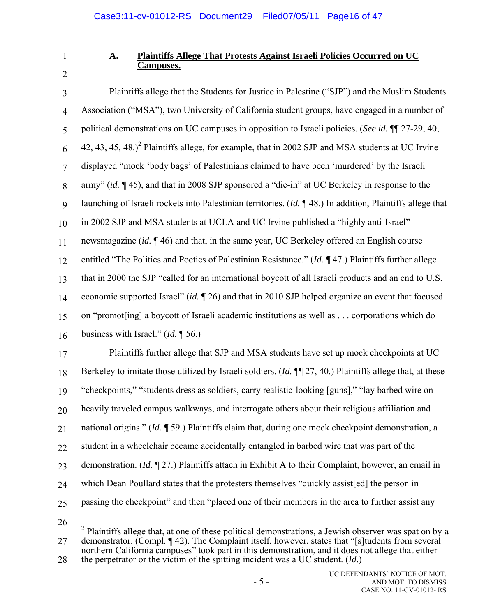1

## **A. Plaintiffs Allege That Protests Against Israeli Policies Occurred on UC Campuses.**

3 4 5 6 7 8 9 10 11 12 13 14 15 16 17 18 19 20 Plaintiffs allege that the Students for Justice in Palestine ("SJP") and the Muslim Students Association ("MSA"), two University of California student groups, have engaged in a number of political demonstrations on UC campuses in opposition to Israeli policies. (*See id.* ¶¶ 27-29, 40, 42, 43, 45, 48.)<sup>2</sup> Plaintiffs allege, for example, that in 2002 SJP and MSA students at UC Irvine displayed "mock 'body bags' of Palestinians claimed to have been 'murdered' by the Israeli army" (*id.* ¶ 45), and that in 2008 SJP sponsored a "die-in" at UC Berkeley in response to the launching of Israeli rockets into Palestinian territories. (*Id.* ¶ 48.) In addition, Plaintiffs allege that in 2002 SJP and MSA students at UCLA and UC Irvine published a "highly anti-Israel" newsmagazine (*id.* ¶ 46) and that, in the same year, UC Berkeley offered an English course entitled "The Politics and Poetics of Palestinian Resistance." (*Id.* ¶ 47.) Plaintiffs further allege that in 2000 the SJP "called for an international boycott of all Israeli products and an end to U.S. economic supported Israel" (*id.* ¶ 26) and that in 2010 SJP helped organize an event that focused on "promot[ing] a boycott of Israeli academic institutions as well as . . . corporations which do business with Israel." (*Id.* ¶ 56.) Plaintiffs further allege that SJP and MSA students have set up mock checkpoints at UC Berkeley to imitate those utilized by Israeli soldiers. (*Id.* ¶¶ 27, 40.) Plaintiffs allege that, at these "checkpoints," "students dress as soldiers, carry realistic-looking [guns]," "lay barbed wire on heavily traveled campus walkways, and interrogate others about their religious affiliation and

21 national origins." (*Id.* ¶ 59.) Plaintiffs claim that, during one mock checkpoint demonstration, a

22 student in a wheelchair became accidentally entangled in barbed wire that was part of the

23 demonstration. (*Id.* ¶ 27.) Plaintiffs attach in Exhibit A to their Complaint, however, an email in

24 which Dean Poullard states that the protesters themselves "quickly assist[ed] the person in

25

26 27 28 <sup>2</sup> Plaintiffs allege that, at one of these political demonstrations, a Jewish observer was spat on by a demonstrator. (Compl. ¶ 42). The Complaint itself, however, states that "[s]tudents from several northern California campuses" took part in this demonstration, and it does not allege that either the perpetrator or the victim of the spitting incident was a UC student. (*Id.*)

passing the checkpoint" and then "placed one of their members in the area to further assist any

<sup>2</sup>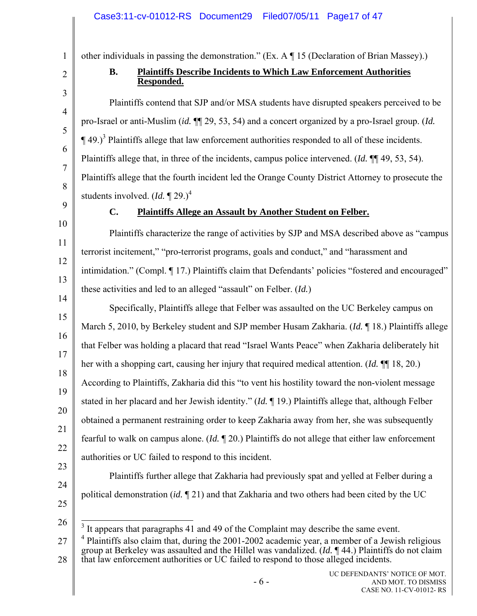## Case3:11-cv-01012-RS Document29 Filed07/05/11 Page17 of 47

other individuals in passing the demonstration." (Ex. A ¶ 15 (Declaration of Brian Massey).)

# 2 3

4

5

6

7

8

1

# **B. Plaintiffs Describe Incidents to Which Law Enforcement Authorities Responded.**

Plaintiffs contend that SJP and/or MSA students have disrupted speakers perceived to be pro-Israel or anti-Muslim (*id.* ¶¶ 29, 53, 54) and a concert organized by a pro-Israel group. (*Id.*  $\P$  49.)<sup>3</sup> Plaintiffs allege that law enforcement authorities responded to all of these incidents. Plaintiffs allege that, in three of the incidents, campus police intervened. (*Id.* ¶¶ 49, 53, 54). Plaintiffs allege that the fourth incident led the Orange County District Attorney to prosecute the students involved.  $(Id. \P 29.)^4$ 

9

10

11

12

13

# **C. Plaintiffs Allege an Assault by Another Student on Felber.**

Plaintiffs characterize the range of activities by SJP and MSA described above as "campus terrorist incitement," "pro-terrorist programs, goals and conduct," and "harassment and intimidation." (Compl. ¶ 17.) Plaintiffs claim that Defendants' policies "fostered and encouraged" these activities and led to an alleged "assault" on Felber. (*Id.*)

14 15 16 17 18 19 20 21 22 Specifically, Plaintiffs allege that Felber was assaulted on the UC Berkeley campus on March 5, 2010, by Berkeley student and SJP member Husam Zakharia. (*Id.* ¶ 18.) Plaintiffs allege that Felber was holding a placard that read "Israel Wants Peace" when Zakharia deliberately hit her with a shopping cart, causing her injury that required medical attention. (*Id.* ¶¶ 18, 20.) According to Plaintiffs, Zakharia did this "to vent his hostility toward the non-violent message stated in her placard and her Jewish identity." (*Id.* ¶ 19.) Plaintiffs allege that, although Felber obtained a permanent restraining order to keep Zakharia away from her, she was subsequently fearful to walk on campus alone. (*Id.* ¶ 20.) Plaintiffs do not allege that either law enforcement authorities or UC failed to respond to this incident.

23 24

25

26

 $\overline{\phantom{a}}$  $3$  It appears that paragraphs 41 and 49 of the Complaint may describe the same event.

27 28  $4$  Plaintiffs also claim that, during the 2001-2002 academic year, a member of a Jewish religious group at Berkeley was assaulted and the Hillel was vandalized. (*Id.* ¶ 44.) Plaintiffs do not claim that law enforcement authorities or UC failed to respond to those alleged incidents.

political demonstration (*id.* ¶ 21) and that Zakharia and two others had been cited by the UC

Plaintiffs further allege that Zakharia had previously spat and yelled at Felber during a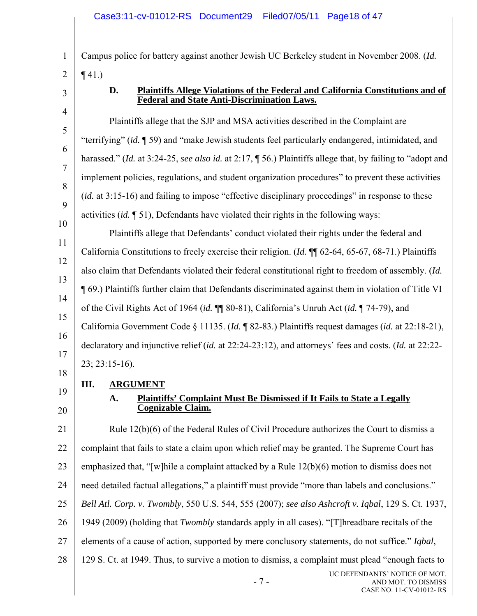Campus police for battery against another Jewish UC Berkeley student in November 2008. (*Id.*  $\P(41)$ 

3

1

2

4

5

6

7

8

9

10

11

12

13

14

15

16

17

## **D. Plaintiffs Allege Violations of the Federal and California Constitutions and of Federal and State Anti-Discrimination Laws.**

Plaintiffs allege that the SJP and MSA activities described in the Complaint are "terrifying" (*id.* ¶ 59) and "make Jewish students feel particularly endangered, intimidated, and harassed." (*Id.* at 3:24-25, *see also id.* at 2:17, ¶ 56.) Plaintiffs allege that, by failing to "adopt and implement policies, regulations, and student organization procedures" to prevent these activities (*id.* at 3:15-16) and failing to impose "effective disciplinary proceedings" in response to these activities (*id.* ¶ 51), Defendants have violated their rights in the following ways: Plaintiffs allege that Defendants' conduct violated their rights under the federal and California Constitutions to freely exercise their religion. (*Id.* ¶¶ 62-64, 65-67, 68-71.) Plaintiffs also claim that Defendants violated their federal constitutional right to freedom of assembly. (*Id.* ¶ 69.) Plaintiffs further claim that Defendants discriminated against them in violation of Title VI of the Civil Rights Act of 1964 (*id.* ¶¶ 80-81), California's Unruh Act (*id.* ¶ 74-79), and California Government Code § 11135. (*Id.* ¶ 82-83.) Plaintiffs request damages (*id.* at 22:18-21), declaratory and injunctive relief (*id.* at 22:24-23:12), and attorneys' fees and costs. (*Id.* at 22:22- 23; 23:15-16).

18

19 **III. ARGUMENT**

20

# **A. Plaintiffs' Complaint Must Be Dismissed if It Fails to State a Legally Cognizable Claim.**

21 22 23 24 25 26 27 28 Rule 12(b)(6) of the Federal Rules of Civil Procedure authorizes the Court to dismiss a complaint that fails to state a claim upon which relief may be granted. The Supreme Court has emphasized that, "[w]hile a complaint attacked by a Rule 12(b)(6) motion to dismiss does not need detailed factual allegations," a plaintiff must provide "more than labels and conclusions." *Bell Atl. Corp. v. Twombly*, 550 U.S. 544, 555 (2007); *see also Ashcroft v. Iqbal*, 129 S. Ct. 1937, 1949 (2009) (holding that *Twombly* standards apply in all cases). "[T]hreadbare recitals of the elements of a cause of action, supported by mere conclusory statements, do not suffice." *Iqbal*, 129 S. Ct. at 1949. Thus, to survive a motion to dismiss, a complaint must plead "enough facts to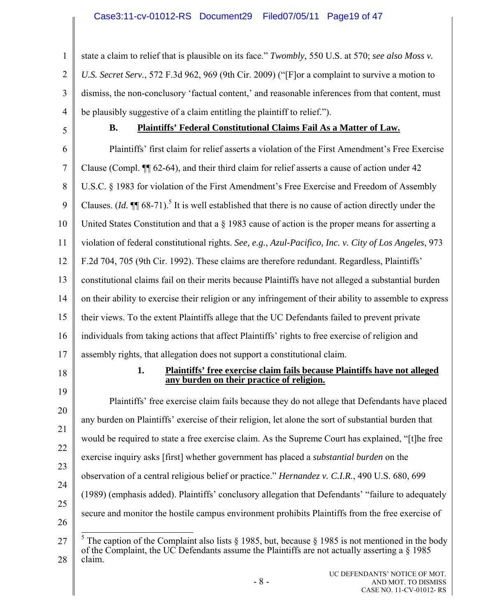1 2 3 4 state a claim to relief that is plausible on its face." *Twombly*, 550 U.S. at 570; *see also Moss v. U.S. Secret Serv.*, 572 F.3d 962, 969 (9th Cir. 2009) ("[F]or a complaint to survive a motion to dismiss, the non-conclusory 'factual content,' and reasonable inferences from that content, must be plausibly suggestive of a claim entitling the plaintiff to relief.").

5

# **B. Plaintiffs' Federal Constitutional Claims Fail As a Matter of Law.**

6 7 8 9 10 11 12 13 14 15 16 17 18 19 20 21 22 23 24 Plaintiffs' first claim for relief asserts a violation of the First Amendment's Free Exercise Clause (Compl. ¶¶ 62-64), and their third claim for relief asserts a cause of action under 42 U.S.C. § 1983 for violation of the First Amendment's Free Exercise and Freedom of Assembly Clauses.  $(Id. \P \P$  68-71).<sup>5</sup> It is well established that there is no cause of action directly under the United States Constitution and that a § 1983 cause of action is the proper means for asserting a violation of federal constitutional rights. *See, e.g.*, *Azul-Pacifico, Inc. v. City of Los Angeles*, 973 F.2d 704, 705 (9th Cir. 1992). These claims are therefore redundant. Regardless, Plaintiffs' constitutional claims fail on their merits because Plaintiffs have not alleged a substantial burden on their ability to exercise their religion or any infringement of their ability to assemble to express their views. To the extent Plaintiffs allege that the UC Defendants failed to prevent private individuals from taking actions that affect Plaintiffs' rights to free exercise of religion and assembly rights, that allegation does not support a constitutional claim. **1. Plaintiffs' free exercise claim fails because Plaintiffs have not alleged any burden on their practice of religion.** Plaintiffs' free exercise claim fails because they do not allege that Defendants have placed any burden on Plaintiffs' exercise of their religion, let alone the sort of substantial burden that would be required to state a free exercise claim. As the Supreme Court has explained, "[t]he free exercise inquiry asks [first] whether government has placed a *substantial burden* on the observation of a central religious belief or practice." *Hernandez v. C.I.R.*, 490 U.S. 680, 699

25 26 (1989) (emphasis added). Plaintiffs' conclusory allegation that Defendants' "failure to adequately

secure and monitor the hostile campus environment prohibits Plaintiffs from the free exercise of

<sup>27</sup>  28  $\overline{a}$ <sup>5</sup> The caption of the Complaint also lists § 1985, but, because § 1985 is not mentioned in the body of the Complaint, the UC Defendants assume the Plaintiffs are not actually asserting a  $\S$  1985 claim.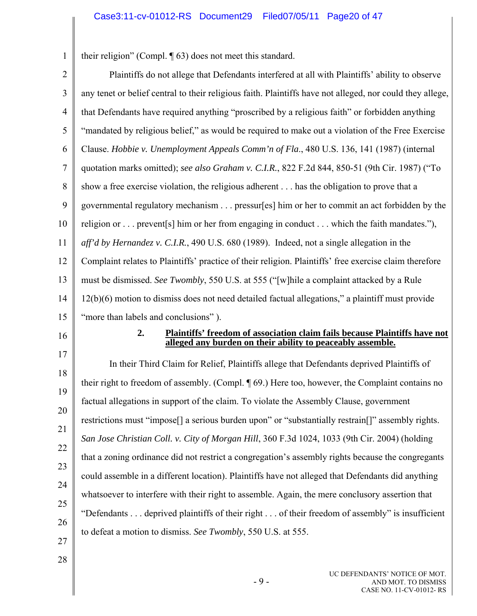1 their religion" (Compl. ¶ 63) does not meet this standard.

| $\overline{2}$ | Plaintiffs do not allege that Defendants interfered at all with Plaintiffs' ability to observe            |
|----------------|-----------------------------------------------------------------------------------------------------------|
| 3              | any tenet or belief central to their religious faith. Plaintiffs have not alleged, nor could they allege, |
| $\overline{4}$ | that Defendants have required anything "proscribed by a religious faith" or forbidden anything            |
| 5              | "mandated by religious belief," as would be required to make out a violation of the Free Exercise         |
| 6              | Clause. Hobbie v. Unemployment Appeals Comm'n of Fla., 480 U.S. 136, 141 (1987) (internal                 |
| 7              | quotation marks omitted); see also Graham v. C.I.R., 822 F.2d 844, 850-51 (9th Cir. 1987) ("To            |
| 8              | show a free exercise violation, the religious adherent has the obligation to prove that a                 |
| 9              | governmental regulatory mechanism pressur[es] him or her to commit an act forbidden by the                |
| 10             | religion or prevent[s] him or her from engaging in conduct which the faith mandates."),                   |
| 11             | aff'd by Hernandez v. C.I.R., 490 U.S. 680 (1989). Indeed, not a single allegation in the                 |
| 12             | Complaint relates to Plaintiffs' practice of their religion. Plaintiffs' free exercise claim therefore    |
| 13             | must be dismissed. See Twombly, 550 U.S. at 555 ("[w]hile a complaint attacked by a Rule                  |
| 14             | 12(b)(6) motion to dismiss does not need detailed factual allegations," a plaintiff must provide          |
|                | "more than labels and conclusions").                                                                      |
| 15             |                                                                                                           |
| 16             | 2.<br><b>Plaintiffs' freedom of association claim fails because Plaintiffs have not</b>                   |
| 17             | alleged any burden on their ability to peaceably assemble.                                                |
| 18             | In their Third Claim for Relief, Plaintiffs allege that Defendants deprived Plaintiffs of                 |
| 19             | their right to freedom of assembly. (Compl. ¶ 69.) Here too, however, the Complaint contains no           |
| 20             | factual allegations in support of the claim. To violate the Assembly Clause, government                   |
| 21             | restrictions must "impose[] a serious burden upon" or "substantially restrain[]" assembly rights.         |
| 22             | San Jose Christian Coll. v. City of Morgan Hill, 360 F.3d 1024, 1033 (9th Cir. 2004) (holding             |
| 23             | that a zoning ordinance did not restrict a congregation's assembly rights because the congregants         |
| 24             | could assemble in a different location). Plaintiffs have not alleged that Defendants did anything         |
| 25             | whatsoever to interfere with their right to assemble. Again, the mere conclusory assertion that           |
| 26             | "Defendants deprived plaintiffs of their right of their freedom of assembly" is insufficient              |
| 27             | to defeat a motion to dismiss. See Twombly, 550 U.S. at 555.                                              |
| 28             |                                                                                                           |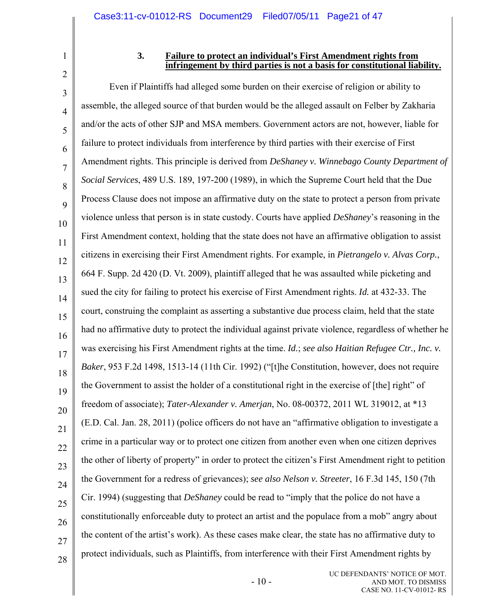2

1

#### **3. Failure to protect an individual's First Amendment rights from infringement by third parties is not a basis for constitutional liability.**

3 4 5 6 7 8 9 10 11 12 13 14 15 16 17 18 19 20 21 22 23 24 25 26 27 28 Even if Plaintiffs had alleged some burden on their exercise of religion or ability to assemble, the alleged source of that burden would be the alleged assault on Felber by Zakharia and/or the acts of other SJP and MSA members. Government actors are not, however, liable for failure to protect individuals from interference by third parties with their exercise of First Amendment rights. This principle is derived from *DeShaney v. Winnebago County Department of Social Services*, 489 U.S. 189, 197-200 (1989), in which the Supreme Court held that the Due Process Clause does not impose an affirmative duty on the state to protect a person from private violence unless that person is in state custody. Courts have applied *DeShaney*'s reasoning in the First Amendment context, holding that the state does not have an affirmative obligation to assist citizens in exercising their First Amendment rights. For example, in *Pietrangelo v. Alvas Corp.*, 664 F. Supp. 2d 420 (D. Vt. 2009), plaintiff alleged that he was assaulted while picketing and sued the city for failing to protect his exercise of First Amendment rights. *Id.* at 432-33. The court, construing the complaint as asserting a substantive due process claim, held that the state had no affirmative duty to protect the individual against private violence, regardless of whether he was exercising his First Amendment rights at the time. *Id.*; *see also Haitian Refugee Ctr., Inc. v. Baker*, 953 F.2d 1498, 1513-14 (11th Cir. 1992) ("[t]he Constitution, however, does not require the Government to assist the holder of a constitutional right in the exercise of [the] right" of freedom of associate); *Tater-Alexander v. Amerjan*, No. 08-00372, 2011 WL 319012, at \*13 (E.D. Cal. Jan. 28, 2011) (police officers do not have an "affirmative obligation to investigate a crime in a particular way or to protect one citizen from another even when one citizen deprives the other of liberty of property" in order to protect the citizen's First Amendment right to petition the Government for a redress of grievances); *see also Nelson v. Streeter*, 16 F.3d 145, 150 (7th Cir. 1994) (suggesting that *DeShaney* could be read to "imply that the police do not have a constitutionally enforceable duty to protect an artist and the populace from a mob" angry about the content of the artist's work). As these cases make clear, the state has no affirmative duty to protect individuals, such as Plaintiffs, from interference with their First Amendment rights by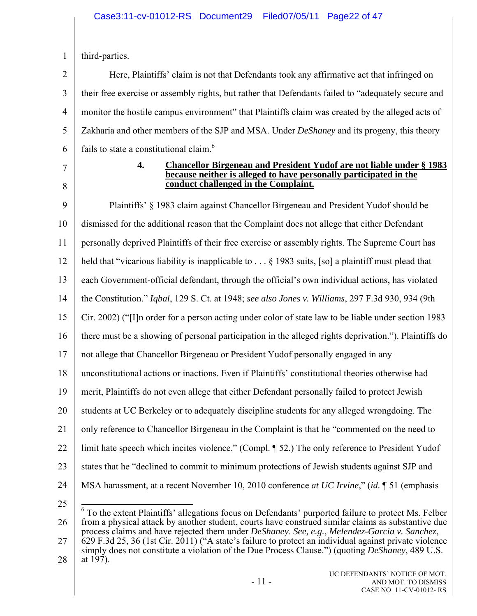|  | third-parties. |
|--|----------------|
|--|----------------|

2 3 4 5 6 Here, Plaintiffs' claim is not that Defendants took any affirmative act that infringed on their free exercise or assembly rights, but rather that Defendants failed to "adequately secure and monitor the hostile campus environment" that Plaintiffs claim was created by the alleged acts of Zakharia and other members of the SJP and MSA. Under *DeShaney* and its progeny, this theory fails to state a constitutional claim.<sup>6</sup>

- 7
- 8

#### **4. Chancellor Birgeneau and President Yudof are not liable under § 1983 because neither is alleged to have personally participated in the conduct challenged in the Complaint.**

9 10 11 12 13 14 15 16 17 18 19 20 21 22 23 24 Plaintiffs' § 1983 claim against Chancellor Birgeneau and President Yudof should be dismissed for the additional reason that the Complaint does not allege that either Defendant personally deprived Plaintiffs of their free exercise or assembly rights. The Supreme Court has held that "vicarious liability is inapplicable to ... § 1983 suits, [so] a plaintiff must plead that each Government-official defendant, through the official's own individual actions, has violated the Constitution." *Iqbal*, 129 S. Ct. at 1948; *see also Jones v. Williams*, 297 F.3d 930, 934 (9th Cir. 2002) ("[I]n order for a person acting under color of state law to be liable under section 1983 there must be a showing of personal participation in the alleged rights deprivation."). Plaintiffs do not allege that Chancellor Birgeneau or President Yudof personally engaged in any unconstitutional actions or inactions. Even if Plaintiffs' constitutional theories otherwise had merit, Plaintiffs do not even allege that either Defendant personally failed to protect Jewish students at UC Berkeley or to adequately discipline students for any alleged wrongdoing. The only reference to Chancellor Birgeneau in the Complaint is that he "commented on the need to limit hate speech which incites violence." (Compl. ¶ 52.) The only reference to President Yudof states that he "declined to commit to minimum protections of Jewish students against SJP and MSA harassment, at a recent November 10, 2010 conference *at UC Irvine*," (*id.* ¶ 51 (emphasis

25

26 27  $\overline{\phantom{a}}$  $6$  To the extent Plaintiffs' allegations focus on Defendants' purported failure to protect Ms. Felber from a physical attack by another student, courts have construed similar claims as substantive due process claims and have rejected them under *DeShaney*. *See, e.g.*, *Melendez-Garcia v. Sanchez*, 629 F.3d 25, 36 (1st Cir. 2011) ("A state's failure to protect an individual against private violence simply does not constitute a violation of the Due Process Clause.") (quoting *DeShaney*, 489 U.S.

28 at 197).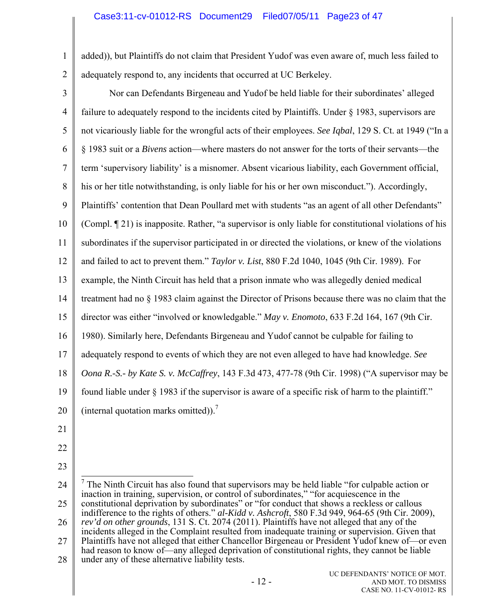- 1 2 added)), but Plaintiffs do not claim that President Yudof was even aware of, much less failed to adequately respond to, any incidents that occurred at UC Berkeley.
- 

3 4 5 6 7 8 9 10 11 12 13 14 15 16 17 18 19 20 21 22 23 Nor can Defendants Birgeneau and Yudof be held liable for their subordinates' alleged failure to adequately respond to the incidents cited by Plaintiffs. Under § 1983, supervisors are not vicariously liable for the wrongful acts of their employees. *See Iqbal*, 129 S. Ct. at 1949 ("In a § 1983 suit or a *Bivens* action—where masters do not answer for the torts of their servants—the term 'supervisory liability' is a misnomer. Absent vicarious liability, each Government official, his or her title notwithstanding, is only liable for his or her own misconduct."). Accordingly, Plaintiffs' contention that Dean Poullard met with students "as an agent of all other Defendants" (Compl. ¶ 21) is inapposite. Rather, "a supervisor is only liable for constitutional violations of his subordinates if the supervisor participated in or directed the violations, or knew of the violations and failed to act to prevent them." *Taylor v. List*, 880 F.2d 1040, 1045 (9th Cir. 1989). For example, the Ninth Circuit has held that a prison inmate who was allegedly denied medical treatment had no § 1983 claim against the Director of Prisons because there was no claim that the director was either "involved or knowledgable." *May v. Enomoto*, 633 F.2d 164, 167 (9th Cir. 1980). Similarly here, Defendants Birgeneau and Yudof cannot be culpable for failing to adequately respond to events of which they are not even alleged to have had knowledge. *See Oona R.-S.- by Kate S. v. McCaffrey*, 143 F.3d 473, 477-78 (9th Cir. 1998) ("A supervisor may be found liable under  $\S$  1983 if the supervisor is aware of a specific risk of harm to the plaintiff." (internal quotation marks omitted)).<sup>7</sup> <sup>7</sup> The Ninth Circuit has also found that supervisors may be held liable "for culpable action or

<sup>24</sup>  25 26 27 28 inaction in training, supervision, or control of subordinates," "for acquiescence in the constitutional deprivation by subordinates" or "for conduct that shows a reckless or callous indifference to the rights of others." *al-Kidd v. Ashcroft*, 580 F.3d 949, 964-65 (9th Cir. 2009), *rev'd on other grounds*, 131 S. Ct. 2074 (2011). Plaintiffs have not alleged that any of the incidents alleged in the Complaint resulted from inadequate training or supervision. Given that Plaintiffs have not alleged that either Chancellor Birgeneau or President Yudof knew of—or even had reason to know of—any alleged deprivation of constitutional rights, they cannot be liable under any of these alternative liability tests.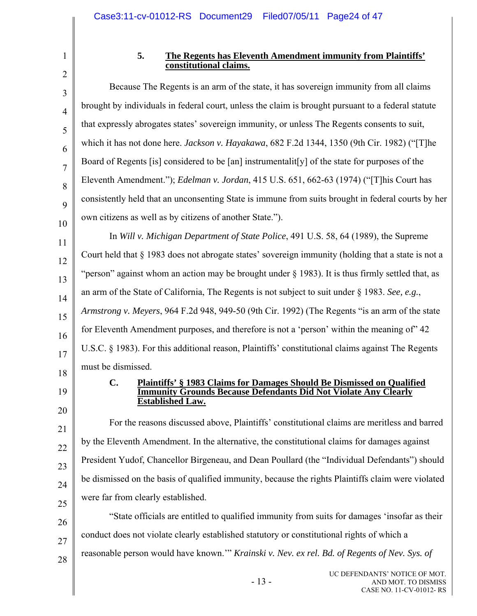2 3

4

5

6

7

8

9

10

1

#### **5. The Regents has Eleventh Amendment immunity from Plaintiffs' constitutional claims.**

Because The Regents is an arm of the state, it has sovereign immunity from all claims brought by individuals in federal court, unless the claim is brought pursuant to a federal statute that expressly abrogates states' sovereign immunity, or unless The Regents consents to suit, which it has not done here. *Jackson v. Hayakawa*, 682 F.2d 1344, 1350 (9th Cir. 1982) ("[T]he Board of Regents [is] considered to be [an] instrumentalit[y] of the state for purposes of the Eleventh Amendment."); *Edelman v. Jordan*, 415 U.S. 651, 662-63 (1974) ("[T]his Court has consistently held that an unconsenting State is immune from suits brought in federal courts by her own citizens as well as by citizens of another State.").

11 12 13 14 15 16 17 In *Will v. Michigan Department of State Police*, 491 U.S. 58, 64 (1989), the Supreme Court held that § 1983 does not abrogate states' sovereign immunity (holding that a state is not a "person" against whom an action may be brought under § 1983). It is thus firmly settled that, as an arm of the State of California, The Regents is not subject to suit under § 1983. *See, e.g.*, *Armstrong v. Meyers*, 964 F.2d 948, 949-50 (9th Cir. 1992) (The Regents "is an arm of the state for Eleventh Amendment purposes, and therefore is not a 'person' within the meaning of  $42$ U.S.C. § 1983). For this additional reason, Plaintiffs' constitutional claims against The Regents must be dismissed.

18

19

20

21

22

23

24

25

26

27

28

#### **C. Plaintiffs' § 1983 Claims for Damages Should Be Dismissed on Qualified Immunity Grounds Because Defendants Did Not Violate Any Clearly Established Law.**

For the reasons discussed above, Plaintiffs' constitutional claims are meritless and barred by the Eleventh Amendment. In the alternative, the constitutional claims for damages against President Yudof, Chancellor Birgeneau, and Dean Poullard (the "Individual Defendants") should be dismissed on the basis of qualified immunity, because the rights Plaintiffs claim were violated were far from clearly established.

"State officials are entitled to qualified immunity from suits for damages 'insofar as their conduct does not violate clearly established statutory or constitutional rights of which a reasonable person would have known.'" *Krainski v. Nev. ex rel. Bd. of Regents of Nev. Sys. of*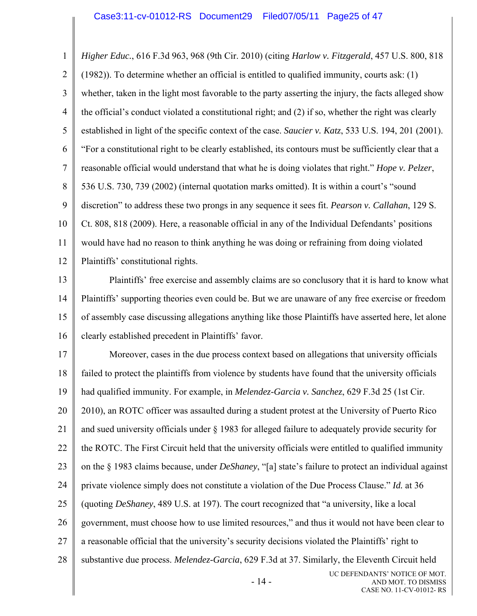1 2 3 4 5 6 7 8 9 10 11 12 13 14 15 16 17 18 19 20 21 22 23 24 25 26 27 28 - 14 - UC DEFENDANTS' NOTICE OF MOT. AND MOT. TO DISMISS *Higher Educ.*, 616 F.3d 963, 968 (9th Cir. 2010) (citing *Harlow v. Fitzgerald*, 457 U.S. 800, 818 (1982)). To determine whether an official is entitled to qualified immunity, courts ask: (1) whether, taken in the light most favorable to the party asserting the injury, the facts alleged show the official's conduct violated a constitutional right; and (2) if so, whether the right was clearly established in light of the specific context of the case. *Saucier v. Katz*, 533 U.S. 194, 201 (2001). "For a constitutional right to be clearly established, its contours must be sufficiently clear that a reasonable official would understand that what he is doing violates that right." *Hope v. Pelzer*, 536 U.S. 730, 739 (2002) (internal quotation marks omitted). It is within a court's "sound discretion" to address these two prongs in any sequence it sees fit. *Pearson v. Callahan*, 129 S. Ct. 808, 818 (2009). Here, a reasonable official in any of the Individual Defendants' positions would have had no reason to think anything he was doing or refraining from doing violated Plaintiffs' constitutional rights. Plaintiffs' free exercise and assembly claims are so conclusory that it is hard to know what Plaintiffs' supporting theories even could be. But we are unaware of any free exercise or freedom of assembly case discussing allegations anything like those Plaintiffs have asserted here, let alone clearly established precedent in Plaintiffs' favor. Moreover, cases in the due process context based on allegations that university officials failed to protect the plaintiffs from violence by students have found that the university officials had qualified immunity. For example, in *Melendez-Garcia v. Sanchez*, 629 F.3d 25 (1st Cir. 2010), an ROTC officer was assaulted during a student protest at the University of Puerto Rico and sued university officials under § 1983 for alleged failure to adequately provide security for the ROTC. The First Circuit held that the university officials were entitled to qualified immunity on the § 1983 claims because, under *DeShaney*, "[a] state's failure to protect an individual against private violence simply does not constitute a violation of the Due Process Clause." *Id.* at 36 (quoting *DeShaney*, 489 U.S. at 197). The court recognized that "a university, like a local government, must choose how to use limited resources," and thus it would not have been clear to a reasonable official that the university's security decisions violated the Plaintiffs' right to substantive due process. *Melendez-Garcia*, 629 F.3d at 37. Similarly, the Eleventh Circuit held

CASE NO. 11-CV-01012- RS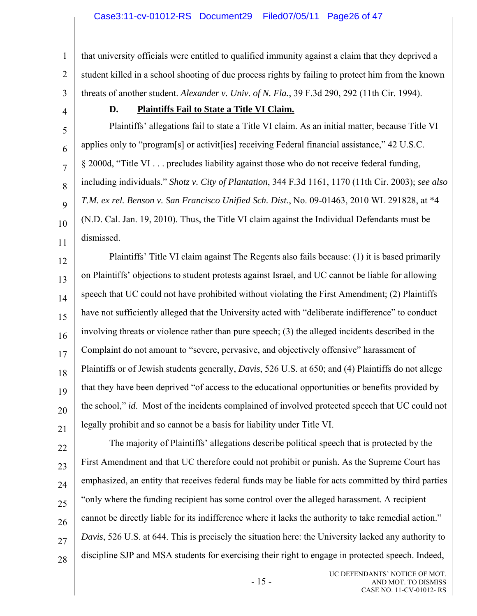1 2 3 that university officials were entitled to qualified immunity against a claim that they deprived a student killed in a school shooting of due process rights by failing to protect him from the known threats of another student. *Alexander v. Univ. of N. Fla.*, 39 F.3d 290, 292 (11th Cir. 1994).

4

5

6

7

8

9

10

11

# **D. Plaintiffs Fail to State a Title VI Claim.**

Plaintiffs' allegations fail to state a Title VI claim. As an initial matter, because Title VI applies only to "program[s] or activit[ies] receiving Federal financial assistance," 42 U.S.C. § 2000d, "Title VI . . . precludes liability against those who do not receive federal funding, including individuals." *Shotz v. City of Plantation*, 344 F.3d 1161, 1170 (11th Cir. 2003); *see also T.M. ex rel. Benson v. San Francisco Unified Sch. Dist.*, No. 09-01463, 2010 WL 291828, at \*4 (N.D. Cal. Jan. 19, 2010). Thus, the Title VI claim against the Individual Defendants must be dismissed.

12 13 14 15 16 17 18 19 20 21 Plaintiffs' Title VI claim against The Regents also fails because: (1) it is based primarily on Plaintiffs' objections to student protests against Israel, and UC cannot be liable for allowing speech that UC could not have prohibited without violating the First Amendment; (2) Plaintiffs have not sufficiently alleged that the University acted with "deliberate indifference" to conduct involving threats or violence rather than pure speech; (3) the alleged incidents described in the Complaint do not amount to "severe, pervasive, and objectively offensive" harassment of Plaintiffs or of Jewish students generally, *Davis*, 526 U.S. at 650; and (4) Plaintiffs do not allege that they have been deprived "of access to the educational opportunities or benefits provided by the school," *id*. Most of the incidents complained of involved protected speech that UC could not legally prohibit and so cannot be a basis for liability under Title VI.

22 23 24 25 26 27 28 The majority of Plaintiffs' allegations describe political speech that is protected by the First Amendment and that UC therefore could not prohibit or punish. As the Supreme Court has emphasized, an entity that receives federal funds may be liable for acts committed by third parties "only where the funding recipient has some control over the alleged harassment. A recipient cannot be directly liable for its indifference where it lacks the authority to take remedial action." *Davis*, 526 U.S. at 644. This is precisely the situation here: the University lacked any authority to discipline SJP and MSA students for exercising their right to engage in protected speech. Indeed,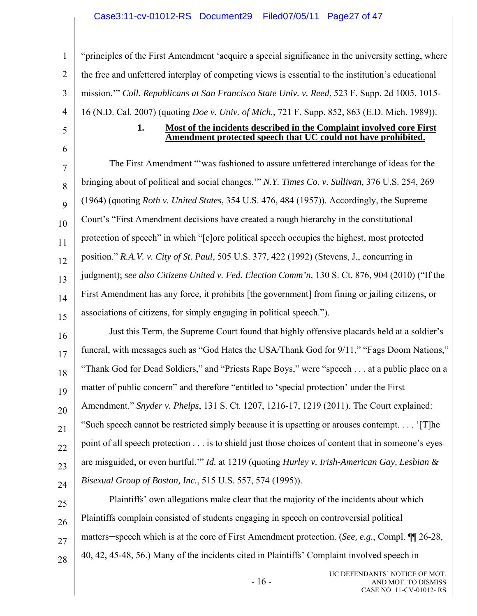## Case3:11-cv-01012-RS Document29 Filed07/05/11 Page27 of 47

6

1 2 3 4 5 "principles of the First Amendment 'acquire a special significance in the university setting, where the free and unfettered interplay of competing views is essential to the institution's educational mission.'" *Coll. Republicans at San Francisco State Univ. v. Reed*, 523 F. Supp. 2d 1005, 1015- 16 (N.D. Cal. 2007) (quoting *Doe v. Univ. of Mich.*, 721 F. Supp. 852, 863 (E.D. Mich. 1989)).

#### **1. Most of the incidents described in the Complaint involved core First Amendment protected speech that UC could not have prohibited.**

7 8 9 10 11 12 13 14 15 The First Amendment "'was fashioned to assure unfettered interchange of ideas for the bringing about of political and social changes.'" *N.Y. Times Co. v. Sullivan,* 376 U.S. 254, 269 (1964) (quoting *Roth v. United States*, 354 U.S. 476, 484 (1957)). Accordingly, the Supreme Court's "First Amendment decisions have created a rough hierarchy in the constitutional protection of speech" in which "[c]ore political speech occupies the highest, most protected position." *R.A.V. v. City of St. Paul*, 505 U.S. 377, 422 (1992) (Stevens, J., concurring in judgment); *see also Citizens United v. Fed. Election Comm'n,* 130 S. Ct. 876, 904 (2010) ("If the First Amendment has any force, it prohibits [the government] from fining or jailing citizens, or associations of citizens, for simply engaging in political speech.").

16 17 18 19 20 21 22 23 24 Just this Term, the Supreme Court found that highly offensive placards held at a soldier's funeral, with messages such as "God Hates the USA/Thank God for 9/11," "Fags Doom Nations," "Thank God for Dead Soldiers," and "Priests Rape Boys," were "speech . . . at a public place on a matter of public concern" and therefore "entitled to 'special protection' under the First Amendment." *Snyder v. Phelps*, 131 S. Ct. 1207, 1216-17, 1219 (2011). The Court explained: "Such speech cannot be restricted simply because it is upsetting or arouses contempt. . . . '[T]he point of all speech protection . . . is to shield just those choices of content that in someone's eyes are misguided, or even hurtful.'" *Id.* at 1219 (quoting *Hurley v. Irish-American Gay, Lesbian & Bisexual Group of Boston, Inc.*, 515 U.S. 557, 574 (1995)).

25 26 27 28 Plaintiffs' own allegations make clear that the majority of the incidents about which Plaintiffs complain consisted of students engaging in speech on controversial political matters─speech which is at the core of First Amendment protection. (*See, e.g.*, Compl. ¶¶ 26-28, 40, 42, 45-48, 56.) Many of the incidents cited in Plaintiffs' Complaint involved speech in

 $-16$  -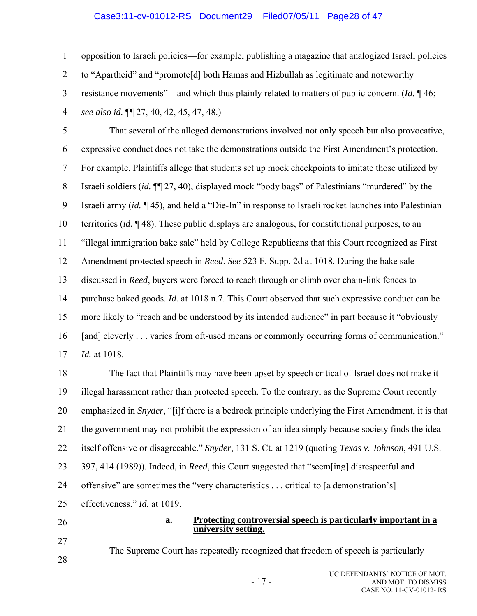### Case3:11-cv-01012-RS Document29 Filed07/05/11 Page28 of 47

opposition to Israeli policies—for example, publishing a magazine that analogized Israeli policies to "Apartheid" and "promote[d] both Hamas and Hizbullah as legitimate and noteworthy resistance movements"—and which thus plainly related to matters of public concern. (*Id.* ¶ 46; *see also id.* ¶¶ 27, 40, 42, 45, 47, 48.)

5 6 7 8 9 10 11 12 13 14 15 16 17 That several of the alleged demonstrations involved not only speech but also provocative, expressive conduct does not take the demonstrations outside the First Amendment's protection. For example, Plaintiffs allege that students set up mock checkpoints to imitate those utilized by Israeli soldiers (*id.* ¶¶ 27, 40), displayed mock "body bags" of Palestinians "murdered" by the Israeli army (*id.* ¶ 45), and held a "Die-In" in response to Israeli rocket launches into Palestinian territories (*id.* ¶ 48). These public displays are analogous, for constitutional purposes, to an "illegal immigration bake sale" held by College Republicans that this Court recognized as First Amendment protected speech in *Reed*. *See* 523 F. Supp. 2d at 1018. During the bake sale discussed in *Reed*, buyers were forced to reach through or climb over chain-link fences to purchase baked goods. *Id.* at 1018 n.7. This Court observed that such expressive conduct can be more likely to "reach and be understood by its intended audience" in part because it "obviously [and] cleverly . . . varies from oft-used means or commonly occurring forms of communication." *Id.* at 1018.

18 19 20 21 22 23 24 25 The fact that Plaintiffs may have been upset by speech critical of Israel does not make it illegal harassment rather than protected speech. To the contrary, as the Supreme Court recently emphasized in *Snyder*, "[i]f there is a bedrock principle underlying the First Amendment, it is that the government may not prohibit the expression of an idea simply because society finds the idea itself offensive or disagreeable." *Snyder*, 131 S. Ct. at 1219 (quoting *Texas v. Johnson*, 491 U.S. 397, 414 (1989)). Indeed, in *Reed*, this Court suggested that "seem[ing] disrespectful and offensive" are sometimes the "very characteristics . . . critical to [a demonstration's] effectiveness." *Id.* at 1019.

26

1

2

3

4

- 27
- 28

**a. Protecting controversial speech is particularly important in a university setting.**

The Supreme Court has repeatedly recognized that freedom of speech is particularly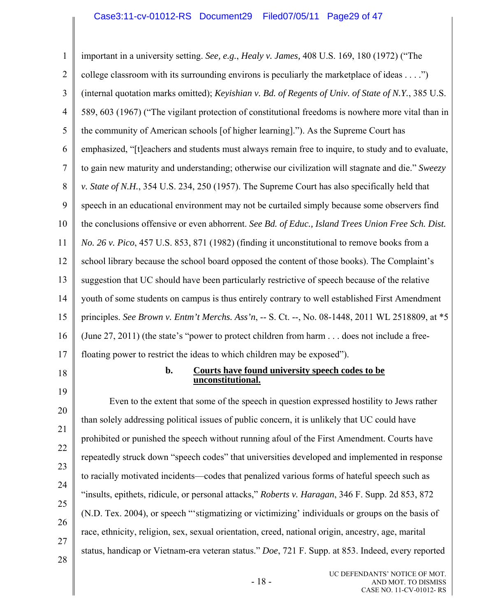1 2 3 4 5 6 7 8 9 10 11 12 13 14 15 16 17 18 19 20 21 22 23 24 25 26 27 28 important in a university setting. *See, e.g.*, *Healy v. James,* 408 U.S. 169, 180 (1972) ("The college classroom with its surrounding environs is peculiarly the marketplace of ideas . . . .") (internal quotation marks omitted); *Keyishian v. Bd. of Regents of Univ. of State of N.Y.*, 385 U.S. 589, 603 (1967) ("The vigilant protection of constitutional freedoms is nowhere more vital than in the community of American schools [of higher learning]."). As the Supreme Court has emphasized, "[t]eachers and students must always remain free to inquire, to study and to evaluate, to gain new maturity and understanding; otherwise our civilization will stagnate and die." *Sweezy v. State of N.H.*, 354 U.S. 234, 250 (1957). The Supreme Court has also specifically held that speech in an educational environment may not be curtailed simply because some observers find the conclusions offensive or even abhorrent. *See Bd. of Educ., Island Trees Union Free Sch. Dist. No. 26 v. Pico*, 457 U.S. 853, 871 (1982) (finding it unconstitutional to remove books from a school library because the school board opposed the content of those books). The Complaint's suggestion that UC should have been particularly restrictive of speech because of the relative youth of some students on campus is thus entirely contrary to well established First Amendment principles. *See Brown v. Entm't Merchs. Ass'n*, -- S. Ct. --, No. 08-1448, 2011 WL 2518809, at \*5 (June 27, 2011) (the state's "power to protect children from harm . . . does not include a freefloating power to restrict the ideas to which children may be exposed"). **b. Courts have found university speech codes to be unconstitutional.** Even to the extent that some of the speech in question expressed hostility to Jews rather than solely addressing political issues of public concern, it is unlikely that UC could have prohibited or punished the speech without running afoul of the First Amendment. Courts have repeatedly struck down "speech codes" that universities developed and implemented in response to racially motivated incidents—codes that penalized various forms of hateful speech such as "insults, epithets, ridicule, or personal attacks," *Roberts v. Haragan*, 346 F. Supp. 2d 853, 872 (N.D. Tex. 2004), or speech "'stigmatizing or victimizing' individuals or groups on the basis of race, ethnicity, religion, sex, sexual orientation, creed, national origin, ancestry, age, marital status, handicap or Vietnam-era veteran status." *Doe*, 721 F. Supp. at 853. Indeed, every reported

- 18 -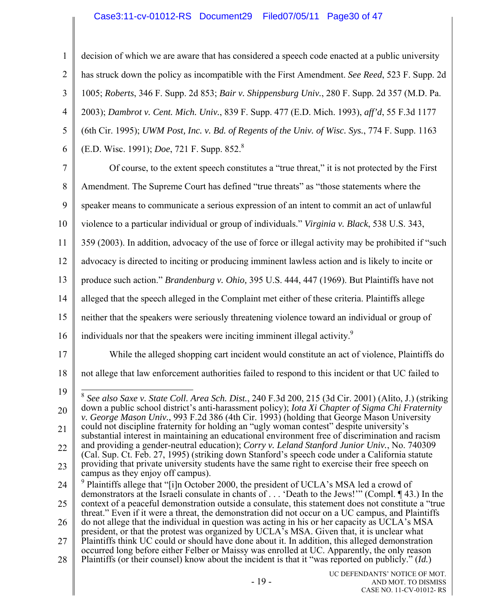## Case3:11-cv-01012-RS Document29 Filed07/05/11 Page30 of 47

1 2 3 4 5 6 7 8 9 10 11 12 13 14 15 16 17 18 19 20 21 22 23 24 25 26 27 28 decision of which we are aware that has considered a speech code enacted at a public university has struck down the policy as incompatible with the First Amendment. *See Reed*, 523 F. Supp. 2d 1005; *Roberts*, 346 F. Supp. 2d 853; *Bair v. Shippensburg Univ.*, 280 F. Supp. 2d 357 (M.D. Pa. 2003); *Dambrot v. Cent. Mich. Univ.*, 839 F. Supp. 477 (E.D. Mich. 1993), *aff'd*, 55 F.3d 1177 (6th Cir. 1995); *UWM Post, Inc. v. Bd. of Regents of the Univ. of Wisc. Sys.*, 774 F. Supp. 1163 (E.D. Wisc. 1991); *Doe*, 721 F. Supp. 852.8 Of course, to the extent speech constitutes a "true threat," it is not protected by the First Amendment. The Supreme Court has defined "true threats" as "those statements where the speaker means to communicate a serious expression of an intent to commit an act of unlawful violence to a particular individual or group of individuals." *Virginia v. Black*, 538 U.S. 343, 359 (2003). In addition, advocacy of the use of force or illegal activity may be prohibited if "such advocacy is directed to inciting or producing imminent lawless action and is likely to incite or produce such action." *Brandenburg v. Ohio,* 395 U.S. 444, 447 (1969). But Plaintiffs have not alleged that the speech alleged in the Complaint met either of these criteria. Plaintiffs allege neither that the speakers were seriously threatening violence toward an individual or group of individuals nor that the speakers were inciting imminent illegal activity.<sup>9</sup> While the alleged shopping cart incident would constitute an act of violence, Plaintiffs do not allege that law enforcement authorities failed to respond to this incident or that UC failed to  $\overline{\phantom{0}}$ <sup>8</sup> *See also Saxe v. State Coll. Area Sch. Dist.*, 240 F.3d 200, 215 (3d Cir. 2001) (Alito, J.) (striking down a public school district's anti-harassment policy); *Iota Xi Chapter of Sigma Chi Fraternity v. George Mason Univ.*, 993 F.2d 386 (4th Cir. 1993) (holding that George Mason University could not discipline fraternity for holding an "ugly woman contest" despite university's substantial interest in maintaining an educational environment free of discrimination and racism and providing a gender-neutral education); *Corry v. Leland Stanford Junior Univ.*, No. 740309 (Cal. Sup. Ct. Feb. 27, 1995) (striking down Stanford's speech code under a California statute providing that private university students have the same right to exercise their free speech on campus as they enjoy off campus).  $9$  Plaintiffs allege that "[i]n October 2000, the president of UCLA's MSA led a crowd of demonstrators at the Israeli consulate in chants of . . . 'Death to the Jews!'" (Compl. ¶ 43.) In the context of a peaceful demonstration outside a consulate, this statement does not constitute a "true threat." Even if it were a threat, the demonstration did not occur on a UC campus, and Plaintiffs do not allege that the individual in question was acting in his or her capacity as UCLA's MSA president, or that the protest was organized by UCLA's MSA. Given that, it is unclear what Plaintiffs think UC could or should have done about it. In addition, this alleged demonstration occurred long before either Felber or Maissy was enrolled at UC. Apparently, the only reason Plaintiffs (or their counsel) know about the incident is that it "was reported on publicly." (*Id.*)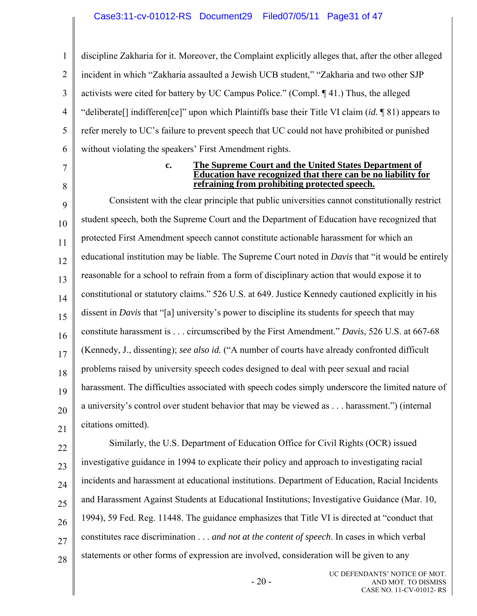#### Case3:11-cv-01012-RS Document29 Filed07/05/11 Page31 of 47

1 2 3 4 5 6 discipline Zakharia for it. Moreover, the Complaint explicitly alleges that, after the other alleged incident in which "Zakharia assaulted a Jewish UCB student," "Zakharia and two other SJP activists were cited for battery by UC Campus Police." (Compl. ¶ 41.) Thus, the alleged "deliberate[] indifferen[ce]" upon which Plaintiffs base their Title VI claim (*id.* ¶ 81) appears to refer merely to UC's failure to prevent speech that UC could not have prohibited or punished without violating the speakers' First Amendment rights.

- 7
- 8

#### **c. The Supreme Court and the United States Department of Education have recognized that there can be no liability for refraining from prohibiting protected speech.**

9 10 11 12 13 14 15 16 17 18 19 20 21 Consistent with the clear principle that public universities cannot constitutionally restrict student speech, both the Supreme Court and the Department of Education have recognized that protected First Amendment speech cannot constitute actionable harassment for which an educational institution may be liable. The Supreme Court noted in *Davis* that "it would be entirely reasonable for a school to refrain from a form of disciplinary action that would expose it to constitutional or statutory claims." 526 U.S. at 649. Justice Kennedy cautioned explicitly in his dissent in *Davis* that "[a] university's power to discipline its students for speech that may constitute harassment is . . . circumscribed by the First Amendment." *Davis*, 526 U.S. at 667-68 (Kennedy, J., dissenting); *see also id.* ("A number of courts have already confronted difficult problems raised by university speech codes designed to deal with peer sexual and racial harassment. The difficulties associated with speech codes simply underscore the limited nature of a university's control over student behavior that may be viewed as . . . harassment.") (internal citations omitted).

22 23 24 25 26 27 28 Similarly, the U.S. Department of Education Office for Civil Rights (OCR) issued investigative guidance in 1994 to explicate their policy and approach to investigating racial incidents and harassment at educational institutions. Department of Education, Racial Incidents and Harassment Against Students at Educational Institutions; Investigative Guidance (Mar. 10, 1994), 59 Fed. Reg. 11448. The guidance emphasizes that Title VI is directed at "conduct that constitutes race discrimination . . . *and not at the content of speech*. In cases in which verbal statements or other forms of expression are involved, consideration will be given to any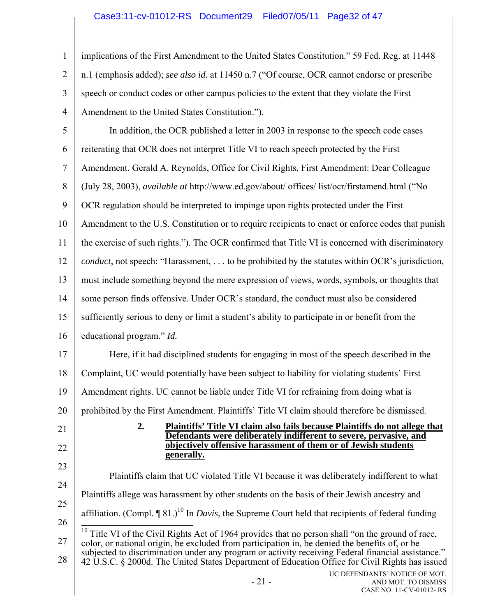|   | 1   implications of the First Amendment to the United States Constitution." 59 Fed. Reg. at 11448                                |
|---|----------------------------------------------------------------------------------------------------------------------------------|
|   | 2    n.1 (emphasis added); see also id. at 11450 n.7 ("Of course, OCR cannot endorse or prescribe                                |
|   | $3 \parallel$ speech or conduct codes or other campus policies to the extent that they violate the First                         |
| 4 | Amendment to the United States Constitution.").                                                                                  |
|   | $\mathbf{r} = 11$ $\mathbf{r} = 1$ $\mathbf{r} = 0.000$ $\mathbf{r} = 11$ $\mathbf{r} = 1$ $\mathbf{r} = 1$ $\mathbf{r} = 0.000$ |

| 5  | In addition, the OCR published a letter in 2003 in response to the speech code cases                                                                                                                           |  |  |  |  |
|----|----------------------------------------------------------------------------------------------------------------------------------------------------------------------------------------------------------------|--|--|--|--|
| 6  | reiterating that OCR does not interpret Title VI to reach speech protected by the First                                                                                                                        |  |  |  |  |
| 7  | Amendment. Gerald A. Reynolds, Office for Civil Rights, First Amendment: Dear Colleague                                                                                                                        |  |  |  |  |
| 8  | (July 28, 2003), <i>available at http://www.ed.gov/about/ offices/ list/ocr/firstamend.html</i> ("No                                                                                                           |  |  |  |  |
| 9  | OCR regulation should be interpreted to impinge upon rights protected under the First                                                                                                                          |  |  |  |  |
| 10 | Amendment to the U.S. Constitution or to require recipients to enact or enforce codes that punish                                                                                                              |  |  |  |  |
| 11 | the exercise of such rights."). The OCR confirmed that Title VI is concerned with discriminatory                                                                                                               |  |  |  |  |
| 12 | <i>conduct</i> , not speech: "Harassment,  to be prohibited by the statutes within OCR's jurisdiction,                                                                                                         |  |  |  |  |
| 13 | must include something beyond the mere expression of views, words, symbols, or thoughts that                                                                                                                   |  |  |  |  |
| 14 | some person finds offensive. Under OCR's standard, the conduct must also be considered                                                                                                                         |  |  |  |  |
| 15 | sufficiently serious to deny or limit a student's ability to participate in or benefit from the                                                                                                                |  |  |  |  |
| 16 | educational program." Id.                                                                                                                                                                                      |  |  |  |  |
| 17 | Here, if it had disciplined students for engaging in most of the speech described in the                                                                                                                       |  |  |  |  |
| 18 | Complaint, UC would potentially have been subject to liability for violating students' First                                                                                                                   |  |  |  |  |
| 19 | Amendment rights. UC cannot be liable under Title VI for refraining from doing what is                                                                                                                         |  |  |  |  |
| 20 | prohibited by the First Amendment. Plaintiffs' Title VI claim should therefore be dismissed.                                                                                                                   |  |  |  |  |
| 21 | 2.<br><b>Plaintiffs' Title VI claim also fails because Plaintiffs do not allege that</b><br>Defendants were deliberately indifferent to severe, pervasive, and                                                 |  |  |  |  |
| 22 | objectively offensive harassment of them or of Jewish students<br>generally.                                                                                                                                   |  |  |  |  |
| 23 | Plaintiffs claim that UC violated Title VI because it was deliberately indifferent to what                                                                                                                     |  |  |  |  |
| 24 |                                                                                                                                                                                                                |  |  |  |  |
| 25 | Plaintiffs allege was harassment by other students on the basis of their Jewish ancestry and                                                                                                                   |  |  |  |  |
| 26 | affiliation. (Compl. $\P$ 81.) <sup>10</sup> In <i>Davis</i> , the Supreme Court held that recipients of federal funding                                                                                       |  |  |  |  |
| 27 | <sup>10</sup> Title VI of the Civil Rights Act of 1964 provides that no person shall "on the ground of race,<br>color, or national origin, be excluded from participation in, be denied the benefits of, or be |  |  |  |  |
| 28 | subjected to discrimination under any program or activity receiving Federal financial assistance."<br>42 U.S.C. § 2000d. The United States Department of Education Office for Civil Rights has issued          |  |  |  |  |
|    | UC DEFENDANTS' NOTICE OF MOT.<br>$-21-$<br>AND MOT. TO DISMISS<br>CASE NO. 11-CV-01012-RS                                                                                                                      |  |  |  |  |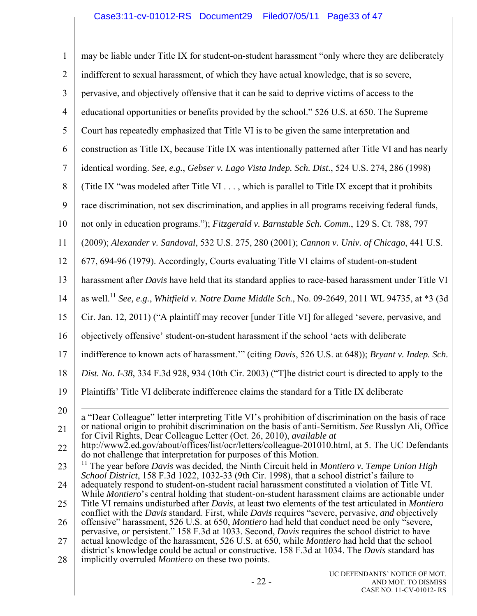| $\mathbf{1}$   | may be liable under Title IX for student-on-student harassment "only where they are deliberately                                                                                                         |  |
|----------------|----------------------------------------------------------------------------------------------------------------------------------------------------------------------------------------------------------|--|
| $\overline{2}$ | indifferent to sexual harassment, of which they have actual knowledge, that is so severe,                                                                                                                |  |
| 3              | pervasive, and objectively offensive that it can be said to deprive victims of access to the                                                                                                             |  |
| 4              | educational opportunities or benefits provided by the school." 526 U.S. at 650. The Supreme                                                                                                              |  |
| 5              | Court has repeatedly emphasized that Title VI is to be given the same interpretation and                                                                                                                 |  |
| 6              | construction as Title IX, because Title IX was intentionally patterned after Title VI and has nearly                                                                                                     |  |
| 7              | identical wording. See, e.g., Gebser v. Lago Vista Indep. Sch. Dist., 524 U.S. 274, 286 (1998)                                                                                                           |  |
| 8              | (Title IX "was modeled after Title VI , which is parallel to Title IX except that it prohibits                                                                                                           |  |
| 9              | race discrimination, not sex discrimination, and applies in all programs receiving federal funds,                                                                                                        |  |
| 10             | not only in education programs."); Fitzgerald v. Barnstable Sch. Comm., 129 S. Ct. 788, 797                                                                                                              |  |
| 11             | (2009); Alexander v. Sandoval, 532 U.S. 275, 280 (2001); Cannon v. Univ. of Chicago, 441 U.S.                                                                                                            |  |
| 12             | 677, 694-96 (1979). Accordingly, Courts evaluating Title VI claims of student-on-student                                                                                                                 |  |
| 13             | harassment after Davis have held that its standard applies to race-based harassment under Title VI                                                                                                       |  |
| 14             | as well. <sup>11</sup> See, e.g., Whitfield v. Notre Dame Middle Sch., No. 09-2649, 2011 WL 94735, at *3 (3d                                                                                             |  |
| 15             | Cir. Jan. 12, 2011) ("A plaintiff may recover [under Title VI] for alleged 'severe, pervasive, and                                                                                                       |  |
| 16             | objectively offensive' student-on-student harassment if the school 'acts with deliberate                                                                                                                 |  |
| 17             | indifference to known acts of harassment."" (citing Davis, 526 U.S. at 648)); Bryant v. Indep. Sch.                                                                                                      |  |
| 18             | Dist. No. I-38, 334 F.3d 928, 934 (10th Cir. 2003) ("T]he district court is directed to apply to the                                                                                                     |  |
| 19             | Plaintiffs' Title VI deliberate indifference claims the standard for a Title IX deliberate                                                                                                               |  |
| 20             | a "Dear Colleague" letter interpreting Title VI's prohibition of discrimination on the basis of race                                                                                                     |  |
| 21             | or national origin to prohibit discrimination on the basis of anti-Semitism. See Russlyn Ali, Office<br>for Civil Rights, Dear Colleague Letter (Oct. 26, 2010), available at                            |  |
| 22             | http://www2.ed.gov/about/offices/list/ocr/letters/colleague-201010.html, at 5. The UC Defendants<br>do not challenge that interpretation for purposes of this Motion.                                    |  |
| 23             | The year before Davis was decided, the Ninth Circuit held in Montiero v. Tempe Union High<br>School District, 158 F.3d 1022, 1032-33 (9th Cir. 1998), that a school district's failure to                |  |
| 24             | adequately respond to student-on-student racial harassment constituted a violation of Title VI.                                                                                                          |  |
| 25             | While Montiero's central holding that student-on-student harassment claims are actionable under<br>Title VI remains undisturbed after Davis, at least two elements of the test articulated in Montiero   |  |
| 26             | conflict with the Davis standard. First, while Davis requires "severe, pervasive, and objectively<br>offensive" harassment, 526 U.S. at 650, <i>Montiero</i> had held that conduct need be only "severe, |  |
| 27             | pervasive, or persistent." 158 F.3d at 1033. Second, Davis requires the school district to have<br>actual knowledge of the harassment, 526 U.S. at 650, while <i>Montiero</i> had held that the school   |  |
| 28             | district's knowledge could be actual or constructive. 158 F.3d at 1034. The Davis standard has<br>implicitly overruled <i>Montiero</i> on these two points.                                              |  |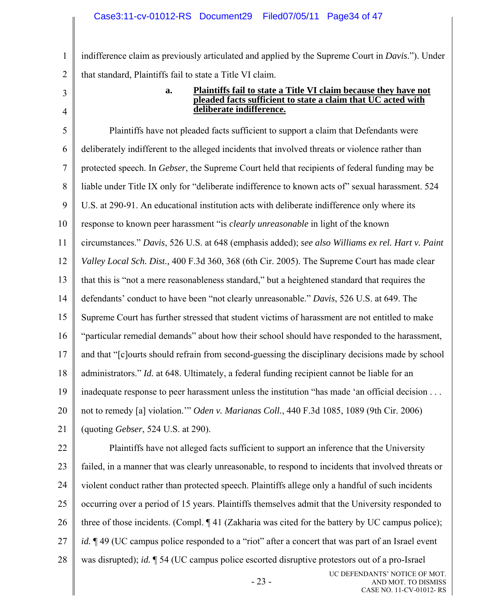indifference claim as previously articulated and applied by the Supreme Court in *Davis*."). Under that standard, Plaintiffs fail to state a Title VI claim.

3 4

1

2

#### **a. Plaintiffs fail to state a Title VI claim because they have not pleaded facts sufficient to state a claim that UC acted with deliberate indifference.**

5 6 7 8 9 10 11 12 13 14 15 16 17 18 19 20 21 Plaintiffs have not pleaded facts sufficient to support a claim that Defendants were deliberately indifferent to the alleged incidents that involved threats or violence rather than protected speech. In *Gebser*, the Supreme Court held that recipients of federal funding may be liable under Title IX only for "deliberate indifference to known acts of" sexual harassment. 524 U.S. at 290-91. An educational institution acts with deliberate indifference only where its response to known peer harassment "is *clearly unreasonable* in light of the known circumstances." *Davis*, 526 U.S. at 648 (emphasis added); *see also Williams ex rel. Hart v. Paint Valley Local Sch. Dist.,* 400 F.3d 360, 368 (6th Cir. 2005). The Supreme Court has made clear that this is "not a mere reasonableness standard," but a heightened standard that requires the defendants' conduct to have been "not clearly unreasonable." *Davis*, 526 U.S. at 649. The Supreme Court has further stressed that student victims of harassment are not entitled to make "particular remedial demands" about how their school should have responded to the harassment, and that "[c]ourts should refrain from second-guessing the disciplinary decisions made by school administrators." *Id.* at 648. Ultimately, a federal funding recipient cannot be liable for an inadequate response to peer harassment unless the institution "has made 'an official decision . . . not to remedy [a] violation.'" *Oden v. Marianas Coll.*, 440 F.3d 1085, 1089 (9th Cir. 2006) (quoting *Gebser*, 524 U.S. at 290).

22 23 24 25 26 27 28 UC DEFENDANTS' NOTICE OF MOT. Plaintiffs have not alleged facts sufficient to support an inference that the University failed, in a manner that was clearly unreasonable, to respond to incidents that involved threats or violent conduct rather than protected speech. Plaintiffs allege only a handful of such incidents occurring over a period of 15 years. Plaintiffs themselves admit that the University responded to three of those incidents. (Compl. ¶ 41 (Zakharia was cited for the battery by UC campus police); *id.*  $\mathbb{I}$  49 (UC campus police responded to a "riot" after a concert that was part of an Israel event was disrupted); *id.* ¶ 54 (UC campus police escorted disruptive protestors out of a pro-Israel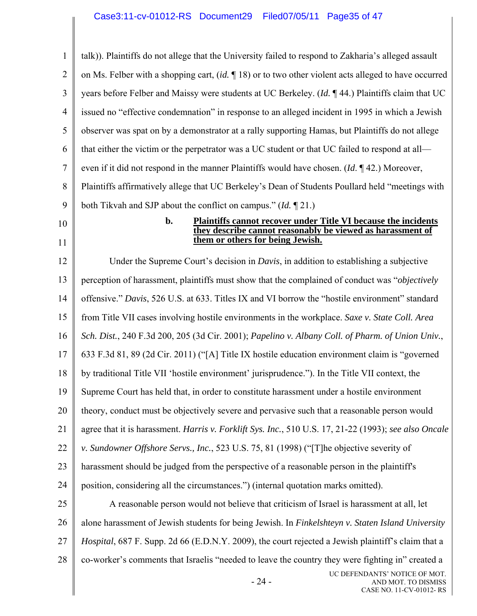1 2 3 4 5 6 7 8 9 10 11 12 13 14 15 16 17 18 19 20 21 22 23 24 25 26 27 28 - 24 - UC DEFENDANTS' NOTICE OF MOT. AND MOT. TO DISMISS CASE NO. 11-CV-01012- RS talk)). Plaintiffs do not allege that the University failed to respond to Zakharia's alleged assault on Ms. Felber with a shopping cart, (*id.* ¶ 18) or to two other violent acts alleged to have occurred years before Felber and Maissy were students at UC Berkeley. (*Id.* ¶ 44.) Plaintiffs claim that UC issued no "effective condemnation" in response to an alleged incident in 1995 in which a Jewish observer was spat on by a demonstrator at a rally supporting Hamas, but Plaintiffs do not allege that either the victim or the perpetrator was a UC student or that UC failed to respond at all even if it did not respond in the manner Plaintiffs would have chosen. (*Id*. ¶ 42.) Moreover, Plaintiffs affirmatively allege that UC Berkeley's Dean of Students Poullard held "meetings with both Tikvah and SJP about the conflict on campus." (*Id.* ¶ 21.) **b. Plaintiffs cannot recover under Title VI because the incidents they describe cannot reasonably be viewed as harassment of them or others for being Jewish.**  Under the Supreme Court's decision in *Davis*, in addition to establishing a subjective perception of harassment, plaintiffs must show that the complained of conduct was "*objectively* offensive." *Davis*, 526 U.S. at 633. Titles IX and VI borrow the "hostile environment" standard from Title VII cases involving hostile environments in the workplace. *Saxe v. State Coll. Area Sch. Dist.*, 240 F.3d 200, 205 (3d Cir. 2001); *Papelino v. Albany Coll. of Pharm. of Union Univ.*, 633 F.3d 81, 89 (2d Cir. 2011) ("[A] Title IX hostile education environment claim is "governed by traditional Title VII 'hostile environment' jurisprudence."). In the Title VII context, the Supreme Court has held that, in order to constitute harassment under a hostile environment theory, conduct must be objectively severe and pervasive such that a reasonable person would agree that it is harassment. *Harris v. Forklift Sys. Inc.*, 510 U.S. 17, 21-22 (1993); *see also Oncale v. Sundowner Offshore Servs., Inc.*, 523 U.S. 75, 81 (1998) ("[T]he objective severity of harassment should be judged from the perspective of a reasonable person in the plaintiff's position, considering all the circumstances.") (internal quotation marks omitted). A reasonable person would not believe that criticism of Israel is harassment at all, let alone harassment of Jewish students for being Jewish. In *Finkelshteyn v. Staten Island University Hospital*, 687 F. Supp. 2d 66 (E.D.N.Y. 2009), the court rejected a Jewish plaintiff's claim that a co-worker's comments that Israelis "needed to leave the country they were fighting in" created a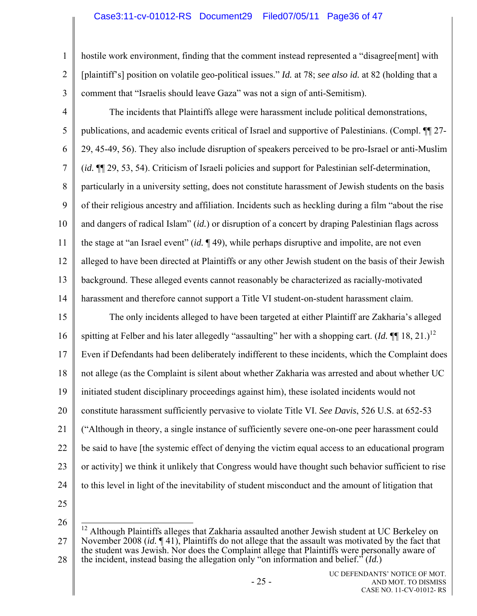## Case3:11-cv-01012-RS Document29 Filed07/05/11 Page36 of 47

hostile work environment, finding that the comment instead represented a "disagree[ment] with [plaintiff's] position on volatile geo-political issues." *Id.* at 78; *see also id.* at 82 (holding that a comment that "Israelis should leave Gaza" was not a sign of anti-Semitism).

4 5 6 7 8 9 10 11 12 13 14 The incidents that Plaintiffs allege were harassment include political demonstrations, publications, and academic events critical of Israel and supportive of Palestinians. (Compl. ¶¶ 27- 29, 45-49, 56). They also include disruption of speakers perceived to be pro-Israel or anti-Muslim (*id.* ¶¶ 29, 53, 54). Criticism of Israeli policies and support for Palestinian self-determination, particularly in a university setting, does not constitute harassment of Jewish students on the basis of their religious ancestry and affiliation. Incidents such as heckling during a film "about the rise and dangers of radical Islam" (*id.*) or disruption of a concert by draping Palestinian flags across the stage at "an Israel event" (*id.* ¶ 49), while perhaps disruptive and impolite, are not even alleged to have been directed at Plaintiffs or any other Jewish student on the basis of their Jewish background. These alleged events cannot reasonably be characterized as racially-motivated harassment and therefore cannot support a Title VI student-on-student harassment claim.

15 16 17 18 19 20 21 22 23 24 The only incidents alleged to have been targeted at either Plaintiff are Zakharia's alleged spitting at Felber and his later allegedly "assaulting" her with a shopping cart.  $(Id. \P\Gamma\$  18, 21.)<sup>12</sup> Even if Defendants had been deliberately indifferent to these incidents, which the Complaint does not allege (as the Complaint is silent about whether Zakharia was arrested and about whether UC initiated student disciplinary proceedings against him), these isolated incidents would not constitute harassment sufficiently pervasive to violate Title VI. *See Davis*, 526 U.S. at 652-53 ("Although in theory, a single instance of sufficiently severe one-on-one peer harassment could be said to have [the systemic effect of denying the victim equal access to an educational program or activity] we think it unlikely that Congress would have thought such behavior sufficient to rise to this level in light of the inevitability of student misconduct and the amount of litigation that

25

1

2

3

26 27 28  $\overline{a}$  $12$  Although Plaintiffs alleges that Zakharia assaulted another Jewish student at UC Berkeley on November 2008 (*id.* ¶ 41), Plaintiffs do not allege that the assault was motivated by the fact that the student was Jewish. Nor does the Complaint allege that Plaintiffs were personally aware of the incident, instead basing the allegation only "on information and belief." (*Id.*)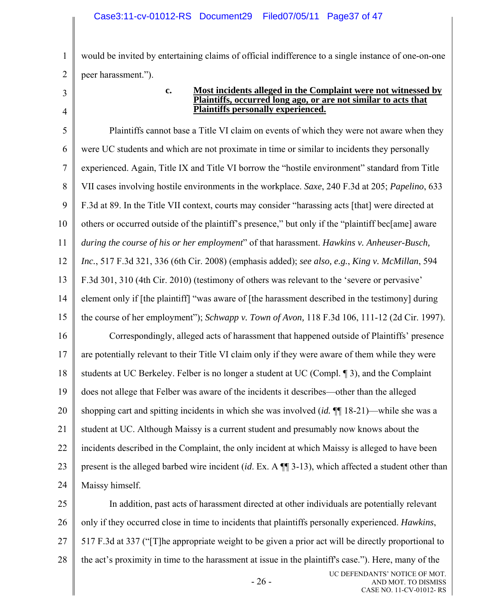would be invited by entertaining claims of official indifference to a single instance of one-on-one peer harassment.").

3 4

1

2

#### **c. Most incidents alleged in the Complaint were not witnessed by Plaintiffs, occurred long ago, or are not similar to acts that Plaintiffs personally experienced.**

5 6 7 8 9 10 11 12 13 14 15 16 17 18 19 20 21 22 23 24 Plaintiffs cannot base a Title VI claim on events of which they were not aware when they were UC students and which are not proximate in time or similar to incidents they personally experienced. Again, Title IX and Title VI borrow the "hostile environment" standard from Title VII cases involving hostile environments in the workplace. *Saxe*, 240 F.3d at 205; *Papelino*, 633 F.3d at 89. In the Title VII context, courts may consider "harassing acts [that] were directed at others or occurred outside of the plaintiff's presence," but only if the "plaintiff bec[ame] aware *during the course of his or her employment*" of that harassment. *Hawkins v. Anheuser-Busch, Inc.*, 517 F.3d 321, 336 (6th Cir. 2008) (emphasis added); *see also, e.g.*, *King v. McMillan*, 594 F.3d 301, 310 (4th Cir. 2010) (testimony of others was relevant to the 'severe or pervasive' element only if [the plaintiff] "was aware of [the harassment described in the testimony] during the course of her employment"); *Schwapp v. Town of Avon,* 118 F.3d 106, 111-12 (2d Cir. 1997). Correspondingly, alleged acts of harassment that happened outside of Plaintiffs' presence are potentially relevant to their Title VI claim only if they were aware of them while they were students at UC Berkeley. Felber is no longer a student at UC (Compl. ¶ 3), and the Complaint does not allege that Felber was aware of the incidents it describes—other than the alleged shopping cart and spitting incidents in which she was involved (*id.* ¶¶ 18-21)—while she was a student at UC. Although Maissy is a current student and presumably now knows about the incidents described in the Complaint, the only incident at which Maissy is alleged to have been present is the alleged barbed wire incident (*id*. Ex. A ¶¶ 3-13), which affected a student other than Maissy himself.

25 26 27 28 UC DEFENDANTS' NOTICE OF MOT. In addition, past acts of harassment directed at other individuals are potentially relevant only if they occurred close in time to incidents that plaintiffs personally experienced. *Hawkins*, 517 F.3d at 337 ("[T]he appropriate weight to be given a prior act will be directly proportional to the act's proximity in time to the harassment at issue in the plaintiff's case."). Here, many of the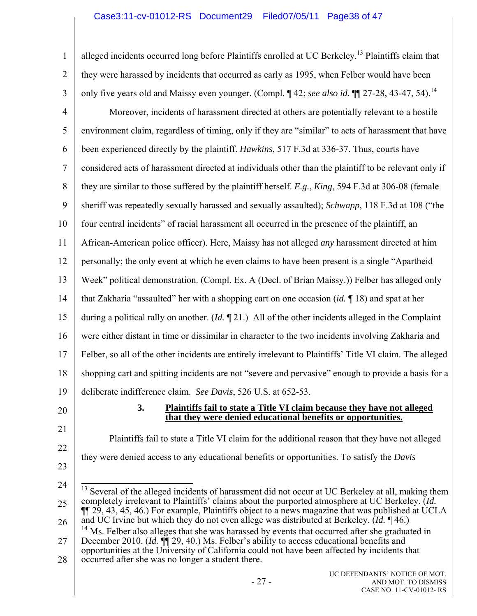## Case3:11-cv-01012-RS Document29 Filed07/05/11 Page38 of 47

1 2 3 4 5 6 7 8 9 10 11 12 13 14 15 16 17 18 19 20 21 22 alleged incidents occurred long before Plaintiffs enrolled at UC Berkeley.<sup>13</sup> Plaintiffs claim that they were harassed by incidents that occurred as early as 1995, when Felber would have been only five years old and Maissy even younger. (Compl. ¶ 42; *see also id*. ¶¶ 27-28, 43-47, 54).<sup>14</sup> Moreover, incidents of harassment directed at others are potentially relevant to a hostile environment claim, regardless of timing, only if they are "similar" to acts of harassment that have been experienced directly by the plaintiff. *Hawkins*, 517 F.3d at 336-37. Thus, courts have considered acts of harassment directed at individuals other than the plaintiff to be relevant only if they are similar to those suffered by the plaintiff herself. *E.g.*, *King*, 594 F.3d at 306-08 (female sheriff was repeatedly sexually harassed and sexually assaulted); *Schwapp*, 118 F.3d at 108 ("the four central incidents" of racial harassment all occurred in the presence of the plaintiff, an African-American police officer). Here, Maissy has not alleged *any* harassment directed at him personally; the only event at which he even claims to have been present is a single "Apartheid Week" political demonstration. (Compl. Ex. A (Decl. of Brian Maissy.)) Felber has alleged only that Zakharia "assaulted" her with a shopping cart on one occasion (*id.* ¶ 18) and spat at her during a political rally on another. (*Id.* ¶ 21.) All of the other incidents alleged in the Complaint were either distant in time or dissimilar in character to the two incidents involving Zakharia and Felber, so all of the other incidents are entirely irrelevant to Plaintiffs' Title VI claim. The alleged shopping cart and spitting incidents are not "severe and pervasive" enough to provide a basis for a deliberate indifference claim. *See Davis*, 526 U.S. at 652-53. **3. Plaintiffs fail to state a Title VI claim because they have not alleged that they were denied educational benefits or opportunities.** Plaintiffs fail to state a Title VI claim for the additional reason that they have not alleged they were denied access to any educational benefits or opportunities. To satisfy the *Davis*

- 23
- 24

25 26  $\overline{a}$  $13$  Several of the alleged incidents of harassment did not occur at UC Berkeley at all, making them completely irrelevant to Plaintiffs' claims about the purported atmosphere at UC Berkeley. (*Id.*  $\P$ [1] 29, 43, 45, 46.) For example, Plaintiffs object to a news magazine that was published at UCLA and UC Irvine but which they do not even allege was distributed at Berkeley. (*Id.* ¶ 46.)  $14$  Ms. Felber also alleges that she was harassed by events that occurred after she graduated in

27 28 December 2010. *(Id.*  $\mathbb{I}$  29, 40.) Ms. Felber's ability to access educational benefits and opportunities at the University of California could not have been affected by incidents that occurred after she was no longer a student there.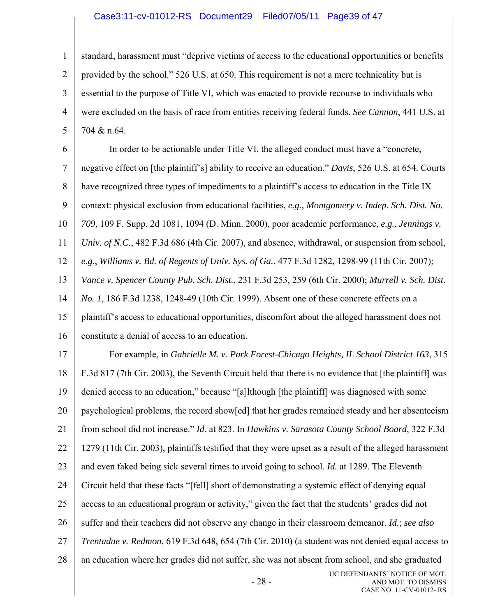#### Case3:11-cv-01012-RS Document29 Filed07/05/11 Page39 of 47

1 2 3 4 5 standard, harassment must "deprive victims of access to the educational opportunities or benefits provided by the school." 526 U.S. at 650. This requirement is not a mere technicality but is essential to the purpose of Title VI, which was enacted to provide recourse to individuals who were excluded on the basis of race from entities receiving federal funds. *See Cannon*, 441 U.S. at 704 & n.64.

6 7 8 9 10 11 12 13 14 15 16 In order to be actionable under Title VI, the alleged conduct must have a "concrete, negative effect on [the plaintiff's] ability to receive an education." *Davis*, 526 U.S. at 654. Courts have recognized three types of impediments to a plaintiff's access to education in the Title IX context: physical exclusion from educational facilities, *e.g.*, *Montgomery v. Indep. Sch. Dist. No. 709*, 109 F. Supp. 2d 1081, 1094 (D. Minn. 2000), poor academic performance, *e.g.*, *Jennings v. Univ. of N.C.*, 482 F.3d 686 (4th Cir. 2007), and absence, withdrawal, or suspension from school, *e.g.*, *Williams v. Bd. of Regents of Univ. Sys. of Ga.*, 477 F.3d 1282, 1298-99 (11th Cir. 2007); *Vance v. Spencer County Pub. Sch. Dist.*, 231 F.3d 253, 259 (6th Cir. 2000); *Murrell v. Sch. Dist. No. 1*, 186 F.3d 1238, 1248-49 (10th Cir. 1999). Absent one of these concrete effects on a plaintiff's access to educational opportunities, discomfort about the alleged harassment does not constitute a denial of access to an education.

17 18 19 20 21 22 23 24 25 26 27 28 - 28 - UC DEFENDANTS' NOTICE OF MOT. For example, in *Gabrielle M. v. Park Forest-Chicago Heights, IL School District 163*, 315 F.3d 817 (7th Cir. 2003), the Seventh Circuit held that there is no evidence that [the plaintiff] was denied access to an education," because "[a]lthough [the plaintiff] was diagnosed with some psychological problems, the record show[ed] that her grades remained steady and her absenteeism from school did not increase." *Id.* at 823. In *Hawkins v. Sarasota County School Board*, 322 F.3d 1279 (11th Cir. 2003), plaintiffs testified that they were upset as a result of the alleged harassment and even faked being sick several times to avoid going to school. *Id.* at 1289. The Eleventh Circuit held that these facts "[fell] short of demonstrating a systemic effect of denying equal access to an educational program or activity," given the fact that the students' grades did not suffer and their teachers did not observe any change in their classroom demeanor. *Id.*; *see also Trentadue v. Redmon*, 619 F.3d 648, 654 (7th Cir. 2010) (a student was not denied equal access to an education where her grades did not suffer, she was not absent from school, and she graduated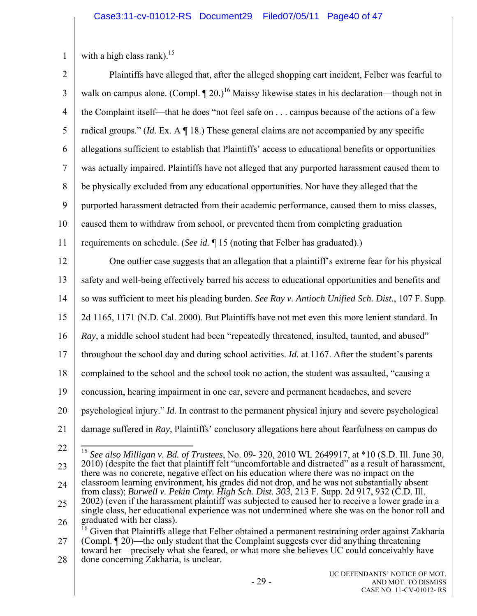1 with a high class rank).<sup>15</sup>

2 3 4 5 6 7 8 9 10 11 12 13 14 15 16 17 18 19 20 21 22 23 24 25 26 27 28 Plaintiffs have alleged that, after the alleged shopping cart incident, Felber was fearful to walk on campus alone. (Compl.  $\P$  20.)<sup>16</sup> Maissy likewise states in his declaration—though not in the Complaint itself—that he does "not feel safe on . . . campus because of the actions of a few radical groups." (*Id*. Ex. A ¶ 18.) These general claims are not accompanied by any specific allegations sufficient to establish that Plaintiffs' access to educational benefits or opportunities was actually impaired. Plaintiffs have not alleged that any purported harassment caused them to be physically excluded from any educational opportunities. Nor have they alleged that the purported harassment detracted from their academic performance, caused them to miss classes, caused them to withdraw from school, or prevented them from completing graduation requirements on schedule. (*See id.* ¶ 15 (noting that Felber has graduated).) One outlier case suggests that an allegation that a plaintiff's extreme fear for his physical safety and well-being effectively barred his access to educational opportunities and benefits and so was sufficient to meet his pleading burden. *See Ray v. Antioch Unified Sch. Dist.*, 107 F. Supp. 2d 1165, 1171 (N.D. Cal. 2000). But Plaintiffs have not met even this more lenient standard. In *Ray*, a middle school student had been "repeatedly threatened, insulted, taunted, and abused" throughout the school day and during school activities. *Id.* at 1167. After the student's parents complained to the school and the school took no action, the student was assaulted, "causing a concussion, hearing impairment in one ear, severe and permanent headaches, and severe psychological injury." *Id.* In contrast to the permanent physical injury and severe psychological damage suffered in *Ray*, Plaintiffs' conclusory allegations here about fearfulness on campus do  $\overline{a}$ <sup>15</sup> *See also Milligan v. Bd. of Trustees*, No. 09- 320, 2010 WL 2649917, at \*10 (S.D. Ill. June 30, 2010) (despite the fact that plaintiff felt "uncomfortable and distracted" as a result of harassment, there was no concrete, negative effect on his education where there was no impact on the classroom learning environment, his grades did not drop, and he was not substantially absent from class); *Burwell v. Pekin Cmty. High Sch. Dist. 303*, 213 F. Supp. 2d 917, 932 (C.D. Ill. 2002) (even if the harassment plaintiff was subjected to caused her to receive a lower grade in a single class, her educational experience was not undermined where she was on the honor roll and graduated with her class). <sup>16</sup> Given that Plaintiffs allege that Felber obtained a permanent restraining order against Zakharia (Compl. ¶ 20)—the only student that the Complaint suggests ever did anything threatening toward her—precisely what she feared, or what more she believes UC could conceivably have done concerning Zakharia, is unclear.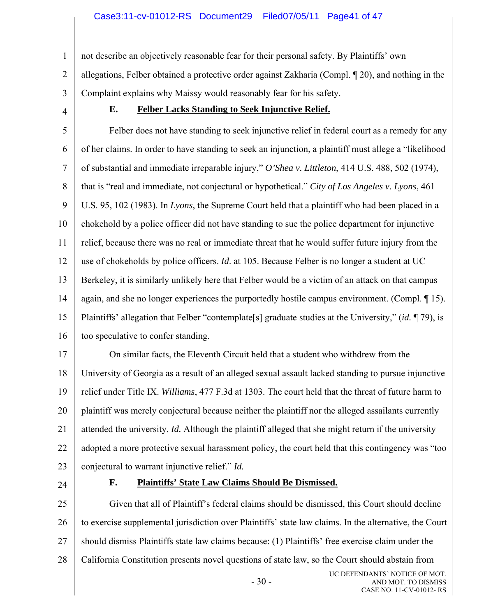not describe an objectively reasonable fear for their personal safety. By Plaintiffs' own

2 3 allegations, Felber obtained a protective order against Zakharia (Compl. ¶ 20), and nothing in the Complaint explains why Maissy would reasonably fear for his safety.

4

1

## **E. Felber Lacks Standing to Seek Injunctive Relief.**

5 6 7 8 9 10 11 12 13 14 15 16 Felber does not have standing to seek injunctive relief in federal court as a remedy for any of her claims. In order to have standing to seek an injunction, a plaintiff must allege a "likelihood of substantial and immediate irreparable injury," *O'Shea v. Littleton*, 414 U.S. 488, 502 (1974), that is "real and immediate, not conjectural or hypothetical." *City of Los Angeles v. Lyons*, 461 U.S. 95, 102 (1983). In *Lyons*, the Supreme Court held that a plaintiff who had been placed in a chokehold by a police officer did not have standing to sue the police department for injunctive relief, because there was no real or immediate threat that he would suffer future injury from the use of chokeholds by police officers. *Id*. at 105. Because Felber is no longer a student at UC Berkeley, it is similarly unlikely here that Felber would be a victim of an attack on that campus again, and she no longer experiences the purportedly hostile campus environment. (Compl. ¶ 15). Plaintiffs' allegation that Felber "contemplate[s] graduate studies at the University," (*id.* ¶ 79), is too speculative to confer standing.

17 18 19 20 21 22 23 On similar facts, the Eleventh Circuit held that a student who withdrew from the University of Georgia as a result of an alleged sexual assault lacked standing to pursue injunctive relief under Title IX. *Williams*, 477 F.3d at 1303. The court held that the threat of future harm to plaintiff was merely conjectural because neither the plaintiff nor the alleged assailants currently attended the university. *Id.* Although the plaintiff alleged that she might return if the university adopted a more protective sexual harassment policy, the court held that this contingency was "too conjectural to warrant injunctive relief." *Id.*

24

#### **F. Plaintiffs' State Law Claims Should Be Dismissed.**

25 26 27 28  $-30-$ UC DEFENDANTS' NOTICE OF MOT. Given that all of Plaintiff's federal claims should be dismissed, this Court should decline to exercise supplemental jurisdiction over Plaintiffs' state law claims. In the alternative, the Court should dismiss Plaintiffs state law claims because: (1) Plaintiffs' free exercise claim under the California Constitution presents novel questions of state law, so the Court should abstain from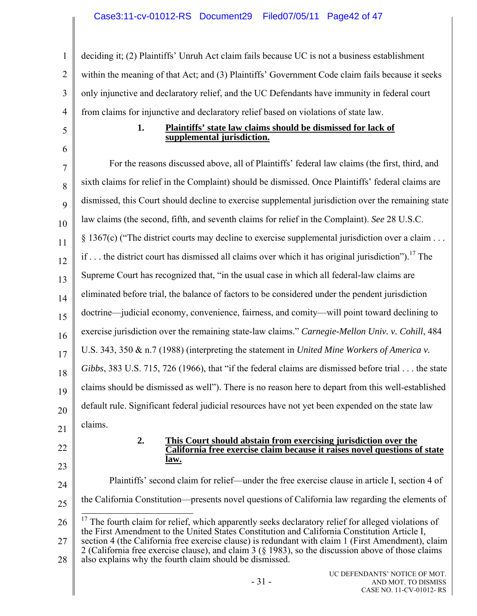1 2 3 4 deciding it; (2) Plaintiffs' Unruh Act claim fails because UC is not a business establishment within the meaning of that Act; and (3) Plaintiffs' Government Code claim fails because it seeks only injunctive and declaratory relief, and the UC Defendants have immunity in federal court from claims for injunctive and declaratory relief based on violations of state law.

# 5 6

#### **1. Plaintiffs' state law claims should be dismissed for lack of supplemental jurisdiction.**

7 8 9 10 11 12 13 14 15 16 17 18 19 20 21 For the reasons discussed above, all of Plaintiffs' federal law claims (the first, third, and sixth claims for relief in the Complaint) should be dismissed. Once Plaintiffs' federal claims are dismissed, this Court should decline to exercise supplemental jurisdiction over the remaining state law claims (the second, fifth, and seventh claims for relief in the Complaint). *See* 28 U.S.C. § 1367(c) ("The district courts may decline to exercise supplemental jurisdiction over a claim . . . if  $\ldots$  the district court has dismissed all claims over which it has original jurisdiction").<sup>17</sup> The Supreme Court has recognized that, "in the usual case in which all federal-law claims are eliminated before trial, the balance of factors to be considered under the pendent jurisdiction doctrine—judicial economy, convenience, fairness, and comity—will point toward declining to exercise jurisdiction over the remaining state-law claims." *Carnegie-Mellon Univ. v. Cohill*, 484 U.S. 343, 350 & n.7 (1988) (interpreting the statement in *United Mine Workers of America v. Gibbs*, 383 U.S. 715, 726 (1966), that "if the federal claims are dismissed before trial . . . the state claims should be dismissed as well"). There is no reason here to depart from this well-established default rule. Significant federal judicial resources have not yet been expended on the state law claims.

22

23

#### **2. This Court should abstain from exercising jurisdiction over the California free exercise claim because it raises novel questions of state law.**

24 25 26 27 28 Plaintiffs' second claim for relief—under the free exercise clause in article I, section 4 of the California Constitution—presents novel questions of California law regarding the elements of  $\overline{a}$  $17$  The fourth claim for relief, which apparently seeks declaratory relief for alleged violations of the First Amendment to the United States Constitution and California Constitution Article I, section 4 (the California free exercise clause) is redundant with claim 1 (First Amendment), claim 2 (California free exercise clause), and claim 3 (§ 1983), so the discussion above of those claims also explains why the fourth claim should be dismissed.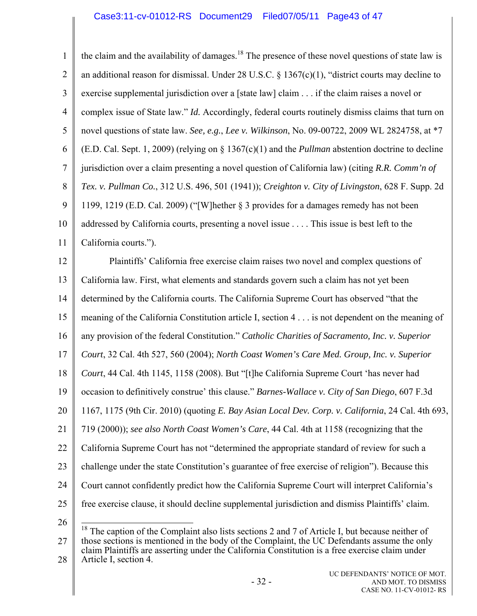1 2 3 4 5 6 7 8 9 10 11 the claim and the availability of damages.<sup>18</sup> The presence of these novel questions of state law is an additional reason for dismissal. Under 28 U.S.C. § 1367(c)(1), "district courts may decline to exercise supplemental jurisdiction over a [state law] claim . . . if the claim raises a novel or complex issue of State law." *Id.* Accordingly, federal courts routinely dismiss claims that turn on novel questions of state law. *See, e.g.*, *Lee v. Wilkinson*, No. 09-00722, 2009 WL 2824758, at \*7 (E.D. Cal. Sept. 1, 2009) (relying on § 1367(c)(1) and the *Pullman* abstention doctrine to decline jurisdiction over a claim presenting a novel question of California law) (citing *R.R. Comm'n of Tex. v. Pullman Co.*, 312 U.S. 496, 501 (1941)); *Creighton v. City of Livingston*, 628 F. Supp. 2d 1199, 1219 (E.D. Cal. 2009) ("[W]hether § 3 provides for a damages remedy has not been addressed by California courts, presenting a novel issue . . . . This issue is best left to the California courts."). Plaintiffs' California free exercise claim raises two novel and complex questions of

12 13 14 15 16 17 18 19 20 21 22 23 24 25 California law. First, what elements and standards govern such a claim has not yet been determined by the California courts. The California Supreme Court has observed "that the meaning of the California Constitution article I, section 4 . . . is not dependent on the meaning of any provision of the federal Constitution." *Catholic Charities of Sacramento, Inc. v. Superior Court*, 32 Cal. 4th 527, 560 (2004); *North Coast Women's Care Med. Group, Inc. v. Superior Court*, 44 Cal. 4th 1145, 1158 (2008). But "[t]he California Supreme Court 'has never had occasion to definitively construe' this clause." *Barnes-Wallace v. City of San Diego*, 607 F.3d 1167, 1175 (9th Cir. 2010) (quoting *E. Bay Asian Local Dev. Corp. v. California*, 24 Cal. 4th 693, 719 (2000)); *see also North Coast Women's Care*, 44 Cal. 4th at 1158 (recognizing that the California Supreme Court has not "determined the appropriate standard of review for such a challenge under the state Constitution's guarantee of free exercise of religion"). Because this Court cannot confidently predict how the California Supreme Court will interpret California's free exercise clause, it should decline supplemental jurisdiction and dismiss Plaintiffs' claim.

26

27 28  $\overline{a}$  $18$  The caption of the Complaint also lists sections 2 and 7 of Article I, but because neither of those sections is mentioned in the body of the Complaint, the UC Defendants assume the only claim Plaintiffs are asserting under the California Constitution is a free exercise claim under Article I, section 4.

> UC DEFENDANTS' NOTICE OF MOT. AND MOT. TO DISMISS CASE NO. 11-CV-01012- RS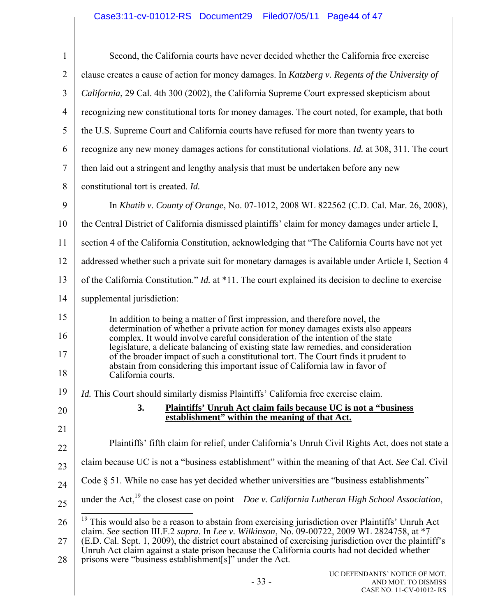# Case3:11-cv-01012-RS Document29 Filed07/05/11 Page44 of 47

| 1              | Second, the California courts have never decided whether the California free exercise                                                                                                                  |
|----------------|--------------------------------------------------------------------------------------------------------------------------------------------------------------------------------------------------------|
| $\overline{2}$ | clause creates a cause of action for money damages. In Katzberg v. Regents of the University of                                                                                                        |
| 3              | California, 29 Cal. 4th 300 (2002), the California Supreme Court expressed skepticism about                                                                                                            |
| $\overline{4}$ | recognizing new constitutional torts for money damages. The court noted, for example, that both                                                                                                        |
| 5              | the U.S. Supreme Court and California courts have refused for more than twenty years to                                                                                                                |
| 6              | recognize any new money damages actions for constitutional violations. <i>Id.</i> at 308, 311. The court                                                                                               |
| 7              | then laid out a stringent and lengthy analysis that must be undertaken before any new                                                                                                                  |
| 8              | constitutional tort is created. Id.                                                                                                                                                                    |
| 9              | In Khatib v. County of Orange, No. 07-1012, 2008 WL 822562 (C.D. Cal. Mar. 26, 2008),                                                                                                                  |
| 10             | the Central District of California dismissed plaintiffs' claim for money damages under article I,                                                                                                      |
| 11             | section 4 of the California Constitution, acknowledging that "The California Courts have not yet                                                                                                       |
| 12             | addressed whether such a private suit for monetary damages is available under Article I, Section 4                                                                                                     |
| 13             | of the California Constitution." <i>Id.</i> at *11. The court explained its decision to decline to exercise                                                                                            |
| 14             | supplemental jurisdiction:                                                                                                                                                                             |
| 15             | In addition to being a matter of first impression, and therefore novel, the                                                                                                                            |
| 16             | determination of whether a private action for money damages exists also appears<br>complex. It would involve careful consideration of the intention of the state                                       |
| 17             | legislature, a delicate balancing of existing state law remedies, and consideration<br>of the broader impact of such a constitutional tort. The Court finds it prudent to                              |
| 18             | abstain from considering this important issue of California law in favor of<br>California courts.                                                                                                      |
| 19             | Id. This Court should similarly dismiss Plaintiffs' California free exercise claim.                                                                                                                    |
| 20             | 3.<br><b>Plaintiffs' Unruh Act claim fails because UC is not a "business"</b><br>establishment" within the meaning of that Act.                                                                        |
| 21             |                                                                                                                                                                                                        |
| 22             | Plaintiffs' fifth claim for relief, under California's Unruh Civil Rights Act, does not state a                                                                                                        |
| 23             | claim because UC is not a "business establishment" within the meaning of that Act. See Cal. Civil                                                                                                      |
| 24             | Code § 51. While no case has yet decided whether universities are "business establishments"                                                                                                            |
| 25             | under the Act, <sup>19</sup> the closest case on point— <i>Doe v. California Lutheran High School Association</i> ,                                                                                    |
| 26             | <sup>19</sup> This would also be a reason to abstain from exercising jurisdiction over Plaintiffs' Unruh Act                                                                                           |
| 27             | claim. See section III.F.2 supra. In Lee v. Wilkinson, No. 09-00722, 2009 WL 2824758, at *7<br>(E.D. Cal. Sept. 1, 2009), the district court abstained of exercising jurisdiction over the plaintiff's |
| 28             | Unruh Act claim against a state prison because the California courts had not decided whether<br>prisons were "business establishment[s]" under the Act.                                                |
|                | UC DEFENDANTS' NOTICE OF MOT.<br>$-33-$<br>AND MOT. TO DISMISS<br>CASE NO. 11-CV-01012-RS                                                                                                              |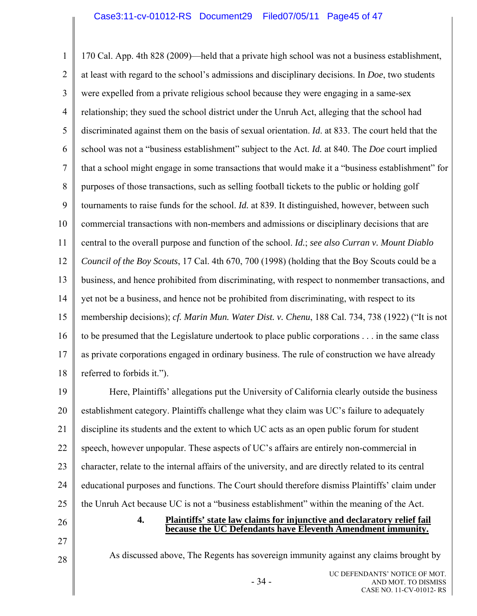1 2 3 4 5 6 7 8 9 10 11 12 13 14 15 16 17 18 170 Cal. App. 4th 828 (2009)—held that a private high school was not a business establishment, at least with regard to the school's admissions and disciplinary decisions. In *Doe*, two students were expelled from a private religious school because they were engaging in a same-sex relationship; they sued the school district under the Unruh Act, alleging that the school had discriminated against them on the basis of sexual orientation. *Id*. at 833. The court held that the school was not a "business establishment" subject to the Act. *Id.* at 840. The *Doe* court implied that a school might engage in some transactions that would make it a "business establishment" for purposes of those transactions, such as selling football tickets to the public or holding golf tournaments to raise funds for the school. *Id.* at 839. It distinguished, however, between such commercial transactions with non-members and admissions or disciplinary decisions that are central to the overall purpose and function of the school. *Id.*; *see also Curran v. Mount Diablo Council of the Boy Scouts*, 17 Cal. 4th 670, 700 (1998) (holding that the Boy Scouts could be a business, and hence prohibited from discriminating, with respect to nonmember transactions, and yet not be a business, and hence not be prohibited from discriminating, with respect to its membership decisions); *cf. Marin Mun. Water Dist. v. Chenu*, 188 Cal. 734, 738 (1922) ("It is not to be presumed that the Legislature undertook to place public corporations . . . in the same class as private corporations engaged in ordinary business. The rule of construction we have already referred to forbids it.").

19 20 21 22 23 24 25 Here, Plaintiffs' allegations put the University of California clearly outside the business establishment category. Plaintiffs challenge what they claim was UC's failure to adequately discipline its students and the extent to which UC acts as an open public forum for student speech, however unpopular. These aspects of UC's affairs are entirely non-commercial in character, relate to the internal affairs of the university, and are directly related to its central educational purposes and functions. The Court should therefore dismiss Plaintiffs' claim under the Unruh Act because UC is not a "business establishment" within the meaning of the Act.

#### 26

- 27
- 28

As discussed above, The Regents has sovereign immunity against any claims brought by

**4. Plaintiffs' state law claims for injunctive and declaratory relief fail**

**because the UC Defendants have Eleventh Amendment immunity.**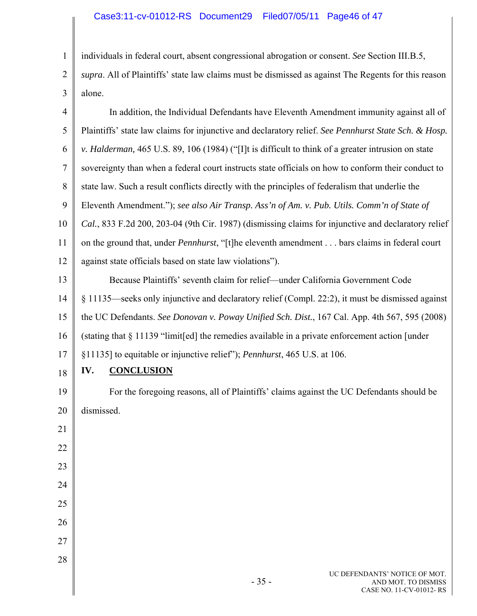# Case3:11-cv-01012-RS Document29 Filed07/05/11 Page46 of 47

1

2

individuals in federal court, absent congressional abrogation or consent. *See* Section III.B.5, *supra*. All of Plaintiffs' state law claims must be dismissed as against The Regents for this reason

| 3              | alone.                                                                                               |
|----------------|------------------------------------------------------------------------------------------------------|
| $\overline{4}$ | In addition, the Individual Defendants have Eleventh Amendment immunity against all of               |
| 5              | Plaintiffs' state law claims for injunctive and declaratory relief. See Pennhurst State Sch. & Hosp. |
| 6              | v. Halderman, 465 U.S. 89, 106 (1984) ("[I]t is difficult to think of a greater intrusion on state   |
| 7              | sovereignty than when a federal court instructs state officials on how to conform their conduct to   |
| 8              | state law. Such a result conflicts directly with the principles of federalism that underlie the      |
| 9              | Eleventh Amendment."); see also Air Transp. Ass'n of Am. v. Pub. Utils. Comm'n of State of           |
| 10             | Cal., 833 F.2d 200, 203-04 (9th Cir. 1987) (dismissing claims for injunctive and declaratory relief  |
| 11             | on the ground that, under Pennhurst, "[t]he eleventh amendment bars claims in federal court          |
| 12             | against state officials based on state law violations").                                             |
| 13             | Because Plaintiffs' seventh claim for relief—under California Government Code                        |
| 14             | § 11135—seeks only injunctive and declaratory relief (Compl. 22:2), it must be dismissed against     |
| 15             | the UC Defendants. See Donovan v. Poway Unified Sch. Dist., 167 Cal. App. 4th 567, 595 (2008)        |
| 16             | (stating that § 11139 "limit[ed] the remedies available in a private enforcement action [under       |
| 17             | §11135] to equitable or injunctive relief"); <i>Pennhurst</i> , 465 U.S. at 106.                     |
| 18             | <b>CONCLUSION</b><br>IV.                                                                             |
| 19             | For the foregoing reasons, all of Plaintiffs' claims against the UC Defendants should be             |
| 20             | dismissed.                                                                                           |
| 21             |                                                                                                      |
| 22             |                                                                                                      |
| 23             |                                                                                                      |
| 24             |                                                                                                      |
| 25             |                                                                                                      |
| 26             |                                                                                                      |
| 27             |                                                                                                      |
| 28             |                                                                                                      |
|                | UC DEFENDANTS' NOTICE OF MOT.                                                                        |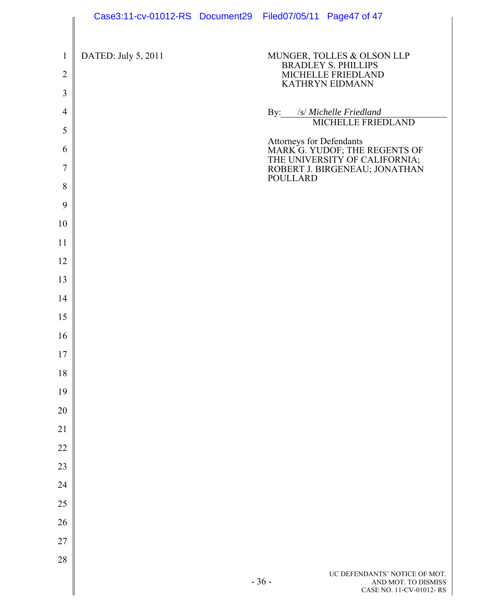|                                                  | Case3:11-cv-01012-RS Document29 Filed07/05/11 Page47 of 47 |                 |                                                                                                          |
|--------------------------------------------------|------------------------------------------------------------|-----------------|----------------------------------------------------------------------------------------------------------|
| $\mathbf{1}$<br>$\overline{2}$<br>$\mathfrak{Z}$ | DATED: July 5, 2011                                        |                 | MUNGER, TOLLES & OLSON LLP<br><b>BRADLEY S. PHILLIPS</b><br>MICHELLE FRIEDLAND<br><b>KATHRYN EIDMANN</b> |
| $\overline{4}$                                   |                                                            |                 | By: /s/ Michelle Friedland                                                                               |
| 5                                                |                                                            |                 | MICHELLE FRIEDLAND                                                                                       |
| 6                                                |                                                            |                 | Attorneys for Defendants<br>MARK G. YUDOF; THE REGENTS OF<br>THE UNIVERSITY OF CALIFORNIA;               |
| $\tau$                                           |                                                            |                 | ROBERT J. BIRGENEAU; JONATHAN                                                                            |
| 8                                                |                                                            | <b>POULLARD</b> |                                                                                                          |
| 9                                                |                                                            |                 |                                                                                                          |
| 10                                               |                                                            |                 |                                                                                                          |
| 11                                               |                                                            |                 |                                                                                                          |
| 12                                               |                                                            |                 |                                                                                                          |
| 13                                               |                                                            |                 |                                                                                                          |
| 14                                               |                                                            |                 |                                                                                                          |
| 15                                               |                                                            |                 |                                                                                                          |
| 16                                               |                                                            |                 |                                                                                                          |
| 17                                               |                                                            |                 |                                                                                                          |
| 18                                               |                                                            |                 |                                                                                                          |
| 19                                               |                                                            |                 |                                                                                                          |
| 20                                               |                                                            |                 |                                                                                                          |
| 21                                               |                                                            |                 |                                                                                                          |
| 22                                               |                                                            |                 |                                                                                                          |
| 23                                               |                                                            |                 |                                                                                                          |
| 24                                               |                                                            |                 |                                                                                                          |
| 25                                               |                                                            |                 |                                                                                                          |
| 26                                               |                                                            |                 |                                                                                                          |
| 27                                               |                                                            |                 |                                                                                                          |
| 28                                               |                                                            | $-36-$          | UC DEFENDANTS' NOTICE OF MOT.<br>AND MOT. TO DISMISS<br>CASE NO. 11-CV-01012-RS                          |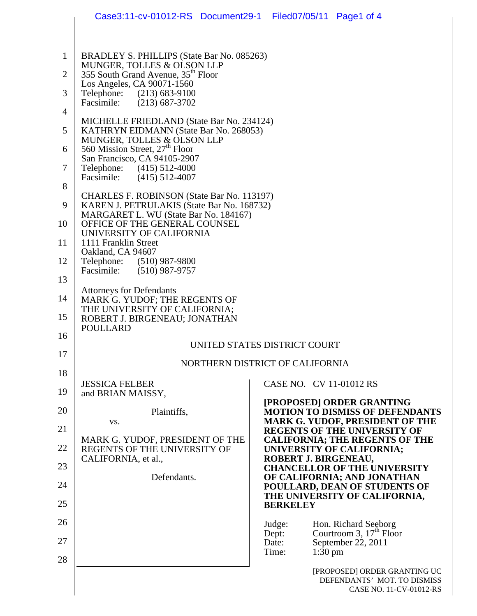|                | Case3:11-cv-01012-RS Document29-1 Filed07/05/11 Page1 of 4                          |                 |           |                                                                                        |
|----------------|-------------------------------------------------------------------------------------|-----------------|-----------|----------------------------------------------------------------------------------------|
|                |                                                                                     |                 |           |                                                                                        |
| $\mathbf{1}$   | BRADLEY S. PHILLIPS (State Bar No. 085263)<br>MUNGER, TOLLES & OLSON LLP            |                 |           |                                                                                        |
| $\overline{2}$ | 355 South Grand Avenue, 35 <sup>th</sup> Floor<br>Los Angeles, CA 90071-1560        |                 |           |                                                                                        |
| 3              | Telephone: (213) 683-9100<br>Facsimile:<br>$(213) 687 - 3702$                       |                 |           |                                                                                        |
| $\overline{4}$ | MICHELLE FRIEDLAND (State Bar No. 234124)                                           |                 |           |                                                                                        |
| 5              | KATHRYN EIDMANN (State Bar No. 268053)<br>MUNGER, TOLLES & OLSON LLP                |                 |           |                                                                                        |
| 6              | 560 Mission Street, 27 <sup>th</sup> Floor<br>San Francisco, CA 94105-2907          |                 |           |                                                                                        |
| 7              | Telephone: (415) 512-4000<br>Facsimile:<br>$(415)$ 512-4007                         |                 |           |                                                                                        |
| 8              | CHARLES F. ROBINSON (State Bar No. 113197)                                          |                 |           |                                                                                        |
| 9              | KAREN J. PETRULAKIS (State Bar No. 168732)<br>MARGARET L. WU (State Bar No. 184167) |                 |           |                                                                                        |
| 10             | OFFICE OF THE GENERAL COUNSEL<br>UNIVERSITY OF CALIFORNIA                           |                 |           |                                                                                        |
| 11             | 1111 Franklin Street<br>Oakland, CA 94607                                           |                 |           |                                                                                        |
| 12             | Telephone: (510) 987-9800<br>Facsimile:<br>$(510)$ 987-9757                         |                 |           |                                                                                        |
| 13             | <b>Attorneys for Defendants</b>                                                     |                 |           |                                                                                        |
| 14             | MARK G. YUDOF; THE REGENTS OF<br>THE UNIVERSITY OF CALIFORNIA;                      |                 |           |                                                                                        |
| 15             | ROBERT J. BIRGENEAU; JONATHAN<br><b>POULLARD</b>                                    |                 |           |                                                                                        |
| 16             | UNITED STATES DISTRICT COURT                                                        |                 |           |                                                                                        |
| 17             | NORTHERN DISTRICT OF CALIFORNIA                                                     |                 |           |                                                                                        |
| 18             | <b>JESSICA FELBER</b>                                                               |                 |           | CASE NO. CV 11-01012 RS                                                                |
| 19             | and BRIAN MAISSY,                                                                   |                 |           | [PROPOSED] ORDER GRANTING                                                              |
| 20             | Plaintiffs,<br>VS.                                                                  |                 |           | <b>MOTION TO DISMISS OF DEFENDANTS</b><br><b>MARK G. YUDOF, PRESIDENT OF THE</b>       |
| 21             | MARK G. YUDOF, PRESIDENT OF THE                                                     |                 |           | <b>REGENTS OF THE UNIVERSITY OF</b><br><b>CALIFORNIA; THE REGENTS OF THE</b>           |
| 22             | REGENTS OF THE UNIVERSITY OF<br>CALIFORNIA, et al.,                                 |                 |           | UNIVERSITY OF CALIFORNIA;<br>ROBERT J. BIRGENEAU,                                      |
| 23             | Defendants.                                                                         |                 |           | <b>CHANCELLOR OF THE UNIVERSITY</b><br>OF CALIFORNIA; AND JONATHAN                     |
| 24             |                                                                                     |                 |           | POULLARD, DEAN OF STUDENTS OF<br>THE UNIVERSITY OF CALIFORNIA,                         |
| 25             |                                                                                     | <b>BERKELEY</b> |           |                                                                                        |
| 26             |                                                                                     | Judge:<br>Dept: |           | Hon. Richard Seeborg<br>Courtroom 3, $17th$ Floor                                      |
| 27<br>28       |                                                                                     | Date:<br>Time:  | $1:30$ pm | September 22, 2011                                                                     |
|                |                                                                                     |                 |           | [PROPOSED] ORDER GRANTING UC<br>DEFENDANTS' MOT. TO DISMISS<br>CASE NO. 11-CV-01012-RS |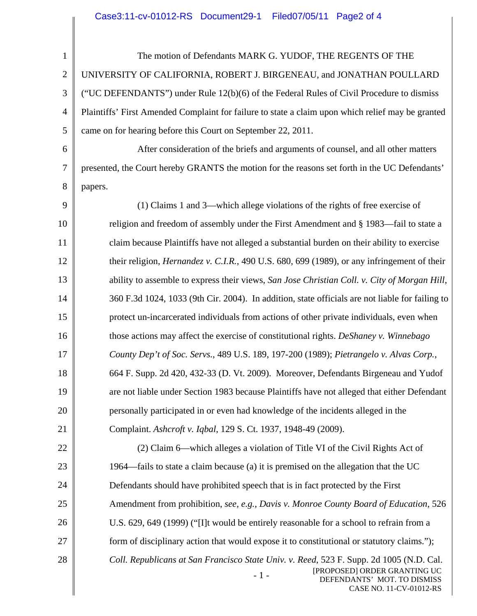| $\mathbf{1}$   | The motion of Defendants MARK G. YUDOF, THE REGENTS OF THE                                                                                                                                 |
|----------------|--------------------------------------------------------------------------------------------------------------------------------------------------------------------------------------------|
| $\mathbf{2}$   | UNIVERSITY OF CALIFORNIA, ROBERT J. BIRGENEAU, and JONATHAN POULLARD                                                                                                                       |
| 3              | ("UC DEFENDANTS") under Rule 12(b)(6) of the Federal Rules of Civil Procedure to dismiss                                                                                                   |
| $\overline{4}$ | Plaintiffs' First Amended Complaint for failure to state a claim upon which relief may be granted                                                                                          |
| 5              | came on for hearing before this Court on September 22, 2011.                                                                                                                               |
| 6              | After consideration of the briefs and arguments of counsel, and all other matters                                                                                                          |
| 7              | presented, the Court hereby GRANTS the motion for the reasons set forth in the UC Defendants'                                                                                              |
| 8              | papers.                                                                                                                                                                                    |
| 9              | (1) Claims 1 and 3—which allege violations of the rights of free exercise of                                                                                                               |
| 10             | religion and freedom of assembly under the First Amendment and § 1983—fail to state a                                                                                                      |
| 11             | claim because Plaintiffs have not alleged a substantial burden on their ability to exercise                                                                                                |
| 12             | their religion, <i>Hernandez v. C.I.R.</i> , 490 U.S. 680, 699 (1989), or any infringement of their                                                                                        |
| 13             | ability to assemble to express their views, San Jose Christian Coll. v. City of Morgan Hill,                                                                                               |
| 14             | 360 F.3d 1024, 1033 (9th Cir. 2004). In addition, state officials are not liable for failing to                                                                                            |
| 15             | protect un-incarcerated individuals from actions of other private individuals, even when                                                                                                   |
| 16             | those actions may affect the exercise of constitutional rights. DeShaney v. Winnebago                                                                                                      |
| 17             | County Dep't of Soc. Servs., 489 U.S. 189, 197-200 (1989); Pietrangelo v. Alvas Corp.,                                                                                                     |
| 18             | 664 F. Supp. 2d 420, 432-33 (D. Vt. 2009). Moreover, Defendants Birgeneau and Yudof                                                                                                        |
| 19             | are not liable under Section 1983 because Plaintiffs have not alleged that either Defendant                                                                                                |
| 20             | personally participated in or even had knowledge of the incidents alleged in the                                                                                                           |
| 21             | Complaint. Ashcroft v. Iqbal, 129 S. Ct. 1937, 1948-49 (2009).                                                                                                                             |
| 22             | (2) Claim 6—which alleges a violation of Title VI of the Civil Rights Act of                                                                                                               |
| 23             | 1964—fails to state a claim because (a) it is premised on the allegation that the UC                                                                                                       |
| 24             | Defendants should have prohibited speech that is in fact protected by the First                                                                                                            |
| 25             | Amendment from prohibition, see, e.g., Davis v. Monroe County Board of Education, 526                                                                                                      |
| 26             | U.S. 629, 649 (1999) ("[I]t would be entirely reasonable for a school to refrain from a                                                                                                    |
| 27             | form of disciplinary action that would expose it to constitutional or statutory claims.");                                                                                                 |
| 28             | Coll. Republicans at San Francisco State Univ. v. Reed, 523 F. Supp. 2d 1005 (N.D. Cal.<br>[PROPOSED] ORDER GRANTING UC<br>$-1-$<br>DEFENDANTS' MOT. TO DISMISS<br>CASE NO. 11-CV-01012-RS |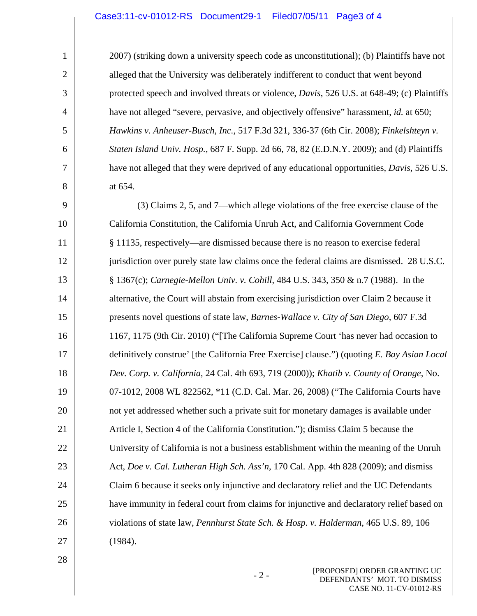#### Case3:11-cv-01012-RS Document29-1 Filed07/05/11 Page3 of 4

2007) (striking down a university speech code as unconstitutional); (b) Plaintiffs have not alleged that the University was deliberately indifferent to conduct that went beyond protected speech and involved threats or violence, *Davis*, 526 U.S. at 648-49; (c) Plaintiffs have not alleged "severe, pervasive, and objectively offensive" harassment, *id.* at 650; *Hawkins v. Anheuser-Busch, Inc.*, 517 F.3d 321, 336-37 (6th Cir. 2008); *Finkelshteyn v. Staten Island Univ. Hosp.*, 687 F. Supp. 2d 66, 78, 82 (E.D.N.Y. 2009); and (d) Plaintiffs have not alleged that they were deprived of any educational opportunities, *Davis*, 526 U.S. at 654.

9 10 11 12 13 14 15 16 17 18 19 20 21 22 23 24 25 26 27 (3) Claims 2, 5, and 7—which allege violations of the free exercise clause of the California Constitution, the California Unruh Act, and California Government Code § 11135, respectively—are dismissed because there is no reason to exercise federal jurisdiction over purely state law claims once the federal claims are dismissed. 28 U.S.C. § 1367(c); *Carnegie-Mellon Univ. v. Cohill*, 484 U.S. 343, 350 & n.7 (1988). In the alternative, the Court will abstain from exercising jurisdiction over Claim 2 because it presents novel questions of state law, *Barnes-Wallace v. City of San Diego*, 607 F.3d 1167, 1175 (9th Cir. 2010) ("[The California Supreme Court 'has never had occasion to definitively construe' [the California Free Exercise] clause.") (quoting *E. Bay Asian Local Dev. Corp. v. California*, 24 Cal. 4th 693, 719 (2000)); *Khatib v. County of Orange*, No. 07-1012, 2008 WL 822562, \*11 (C.D. Cal. Mar. 26, 2008) ("The California Courts have not yet addressed whether such a private suit for monetary damages is available under Article I, Section 4 of the California Constitution."); dismiss Claim 5 because the University of California is not a business establishment within the meaning of the Unruh Act, *Doe v. Cal. Lutheran High Sch. Ass'n*, 170 Cal. App. 4th 828 (2009); and dismiss Claim 6 because it seeks only injunctive and declaratory relief and the UC Defendants have immunity in federal court from claims for injunctive and declaratory relief based on violations of state law, *Pennhurst State Sch. & Hosp. v. Halderman,* 465 U.S. 89, 106 (1984).

28

1

2

3

4

5

6

7

8